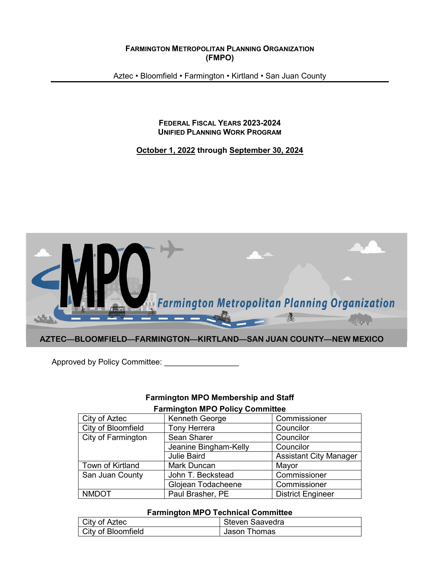**FARMINGTON METROPOLITAN PLANNING ORGANIZATION (FMPO)**

Aztec • Bloomfield • Farmington • Kirtland • San Juan County

#### **FEDERAL FISCAL YEARS 2023-2024 UNIFIED PLANNING WORK PROGRAM**

#### **October 1, 2022 through September 30, 2024**



Approved by Policy Committee: \_\_\_\_\_\_\_\_\_\_\_\_\_\_\_\_\_

## **Farmington MPO Membership and Staff**

| <b>Farmington MPO Policy Committee</b> |
|----------------------------------------|
|----------------------------------------|

| City of Aztec      | Kenneth George        | Commissioner                  |  |  |  |  |  |
|--------------------|-----------------------|-------------------------------|--|--|--|--|--|
| City of Bloomfield | <b>Tony Herrera</b>   | Councilor                     |  |  |  |  |  |
| City of Farmington | Sean Sharer           | Councilor                     |  |  |  |  |  |
|                    | Jeanine Bingham-Kelly | Councilor                     |  |  |  |  |  |
|                    | <b>Julie Baird</b>    | <b>Assistant City Manager</b> |  |  |  |  |  |
| Town of Kirtland   | Mark Duncan           | Mayor                         |  |  |  |  |  |
| San Juan County    | John T. Beckstead     | Commissioner                  |  |  |  |  |  |
|                    | Glojean Todacheene    | Commissioner                  |  |  |  |  |  |
| <b>NMDOT</b>       | Paul Brasher, PE      | <b>District Engineer</b>      |  |  |  |  |  |

#### **Farmington MPO Technical Committee**

| City of Aztec      | Steven Saavedra |
|--------------------|-----------------|
| City of Bloomfield | Jason Thomas    |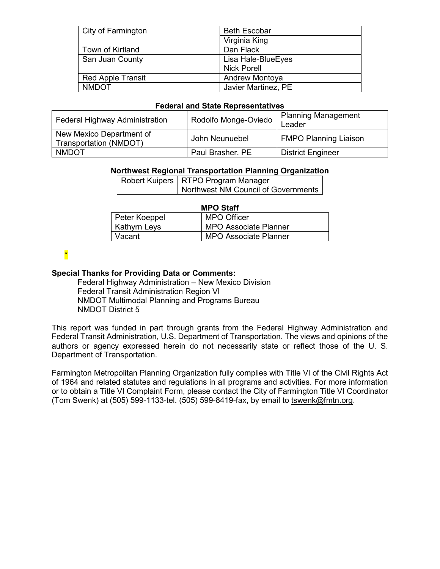| City of Farmington       | <b>Beth Escobar</b>   |
|--------------------------|-----------------------|
|                          | Virginia King         |
| Town of Kirtland         | Dan Flack             |
| San Juan County          | Lisa Hale-Blue Eyes   |
|                          | <b>Nick Porell</b>    |
| <b>Red Apple Transit</b> | <b>Andrew Montoya</b> |
| <b>NMDOT</b>             | Javier Martinez, PE   |

#### **Federal and State Representatives**

| Federal Highway Administration                     | Rodolfo Monge-Oviedo | <b>Planning Management</b><br>Leader |
|----------------------------------------------------|----------------------|--------------------------------------|
| New Mexico Department of<br>Transportation (NMDOT) | John Neunuebel       | <b>FMPO Planning Liaison</b>         |
| <b>NMDOT</b>                                       | Paul Brasher, PE     | <b>District Engineer</b>             |

#### **Northwest Regional Transportation Planning Organization**

| Robert Kuipers   RTPO Program Manager |
|---------------------------------------|
| Northwest NM Council of Governments   |

|               | <b>MPO Staff</b>             |
|---------------|------------------------------|
| Peter Koeppel | <b>MPO Officer</b>           |
| Kathyrn Leys  | <b>MPO Associate Planner</b> |
| Vacant        | <b>MPO Associate Planner</b> |

## \*

#### **Special Thanks for Providing Data or Comments:**

Federal Highway Administration – New Mexico Division Federal Transit Administration Region VI NMDOT Multimodal Planning and Programs Bureau NMDOT District 5

This report was funded in part through grants from the Federal Highway Administration and Federal Transit Administration, U.S. Department of Transportation. The views and opinions of the authors or agency expressed herein do not necessarily state or reflect those of the U. S. Department of Transportation.

Farmington Metropolitan Planning Organization fully complies with Title VI of the Civil Rights Act of 1964 and related statutes and regulations in all programs and activities. For more information or to obtain a Title VI Complaint Form, please contact the City of Farmington Title VI Coordinator (Tom Swenk) at (505) 599-1133-tel. (505) 599-8419-fax, by email to [tswenk@f](mailto:tswenk@)mtn.org.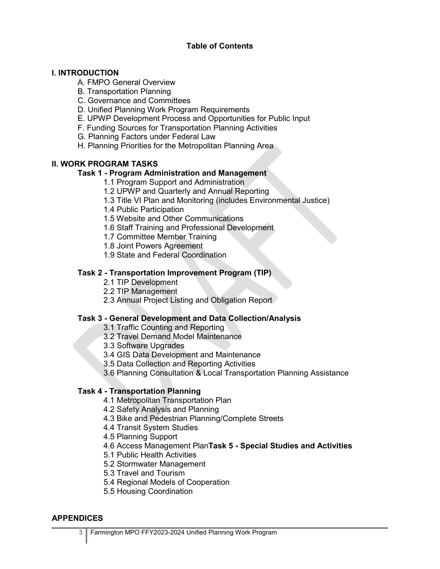## **Table of Contents**

### **I. INTRODUCTION**

- A. FMPO General Overview
- B. Transportation Planning
- C. Governance and Committees
- D. Unified Planning Work Program Requirements
- E. UPWP Development Process and Opportunities for Public Input
- F. Funding Sources for Transportation Planning Activities
- G. Planning Factors under Federal Law
- H. Planning Priorities for the Metropolitan Planning Area

## **II. WORK PROGRAM TASKS**

## **Task 1 - Program Administration and Management**

- 1.1 Program Support and Administration
- 1.2 UPWP and Quarterly and Annual Reporting
- 1.3 Title VI Plan and Monitoring (includes Environmental Justice)
- 1.4 Public Participation
- 1.5 Website and Other Communications
- 1.6 Staff Training and Professional Development
- 1.7 Committee Member Training
- 1.8 Joint Powers Agreement
- 1.9 State and Federal Coordination

## **Task 2 - Transportation Improvement Program (TIP)**

- 2.1 TIP Development
- 2.2 TIP Management
- 2.3 Annual Project Listing and Obligation Report

## **Task 3 - General Development and Data Collection/Analysis**

- 3.1 Traffic Counting and Reporting
- 3.2 Travel Demand Model Maintenance
- 3.3 Software Upgrades
- 3.4 GIS Data Development and Maintenance
- 3.5 Data Collection and Reporting Activities
- 3.6 Planning Consultation & Local Transportation Planning Assistance

## **Task 4 - Transportation Planning**

- 4.1 Metropolitan Transportation Plan
- 4.2 Safety Analysis and Planning
- 4.3 Bike and Pedestrian Planning/Complete Streets
- 4.4 Transit System Studies
- 4.5 Planning Support
- 4.6 Access Management Plan**Task 5 - Special Studies and Activities**
- 5.1 Public Health Activities
- 5.2 Stormwater Management
- 5.3 Travel and Tourism
- 5.4 Regional Models of Cooperation
- 5.5 Housing Coordination

#### **APPENDICES**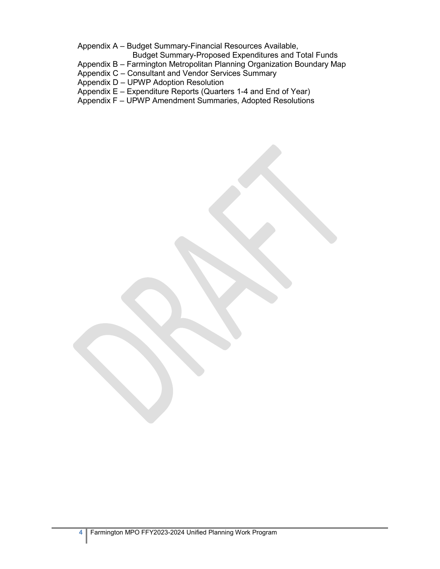Appendix A – Budget Summary-Financial Resources Available,

- Budget Summary-Proposed Expenditures and Total Funds
- Appendix B Farmington Metropolitan Planning Organization Boundary Map
- Appendix C Consultant and Vendor Services Summary
- Appendix D UPWP Adoption Resolution
- Appendix E Expenditure Reports (Quarters 1-4 and End of Year)
- Appendix F UPWP Amendment Summaries, Adopted Resolutions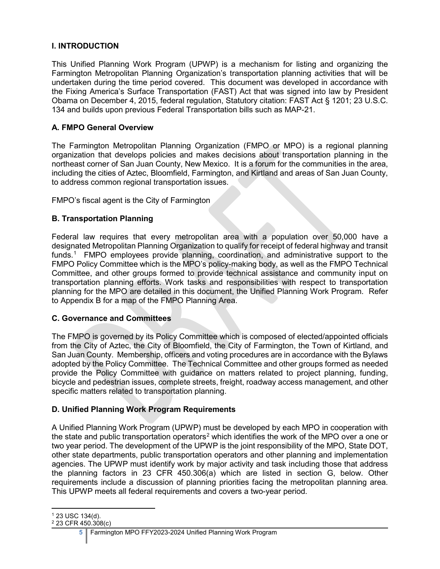## **I. INTRODUCTION**

This Unified Planning Work Program (UPWP) is a mechanism for listing and organizing the Farmington Metropolitan Planning Organization's transportation planning activities that will be undertaken during the time period covered. This document was developed in accordance with the Fixing America's Surface Transportation (FAST) Act that was signed into law by President Obama on December 4, 2015, federal regulation, Statutory citation: FAST Act § 1201; 23 U.S.C. 134 and builds upon previous Federal Transportation bills such as MAP-21.

## **A. FMPO General Overview**

The Farmington Metropolitan Planning Organization (FMPO or MPO) is a regional planning organization that develops policies and makes decisions about transportation planning in the northeast corner of San Juan County, New Mexico. It is a forum for the communities in the area, including the cities of Aztec, Bloomfield, Farmington, and Kirtland and areas of San Juan County, to address common regional transportation issues.

FMPO's fiscal agent is the City of Farmington

## **B. Transportation Planning**

Federal law requires that every metropolitan area with a population over 50,000 have a designated Metropolitan Planning Organization to qualify for receipt of federal highway and transit funds[.1](#page-4-0) FMPO employees provide planning, coordination, and administrative support to the FMPO Policy Committee which is the MPO's policy-making body, as well as the FMPO Technical Committee, and other groups formed to provide technical assistance and community input on transportation planning efforts. Work tasks and responsibilities with respect to transportation planning for the MPO are detailed in this document, the Unified Planning Work Program. Refer to Appendix B for a map of the FMPO Planning Area.

## **C. Governance and Committees**

The FMPO is governed by its Policy Committee which is composed of elected/appointed officials from the City of Aztec, the City of Bloomfield, the City of Farmington, the Town of Kirtland, and San Juan County. Membership, officers and voting procedures are in accordance with the Bylaws adopted by the Policy Committee. The Technical Committee and other groups formed as needed provide the Policy Committee with guidance on matters related to project planning, funding, bicycle and pedestrian issues, complete streets, freight, roadway access management, and other specific matters related to transportation planning.

## **D. Unified Planning Work Program Requirements**

A Unified Planning Work Program (UPWP) must be developed by each MPO in cooperation with the state and public transportation operators<sup>[2](#page-4-1)</sup> which identifies the work of the MPO over a one or two year period. The development of the UPWP is the joint responsibility of the MPO, State DOT, other state departments, public transportation operators and other planning and implementation agencies. The UPWP must identify work by major activity and task including those that address the planning factors in 23 CFR 450.306(a) which are listed in section G, below. Other requirements include a discussion of planning priorities facing the metropolitan planning area. This UPWP meets all federal requirements and covers a two-year period.

 $\overline{a}$ <sup>1</sup> 23 USC 134(d).

<span id="page-4-1"></span><span id="page-4-0"></span><sup>2</sup> 23 CFR 450.308(c)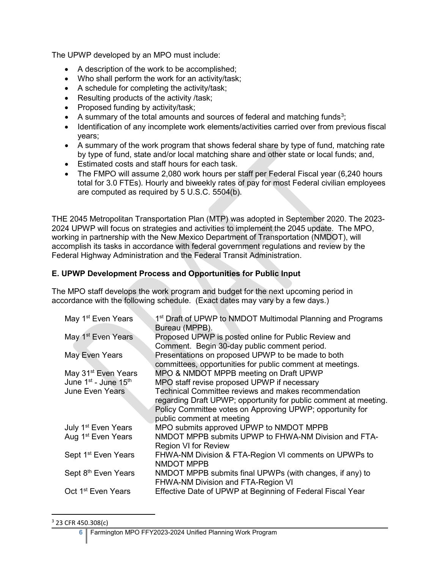The UPWP developed by an MPO must include:

- A description of the work to be accomplished;
- Who shall perform the work for an activity/task;
- A schedule for completing the activity/task;
- Resulting products of the activity /task;
- Proposed funding by activity/task;
- A summary of the total amounts and sources of federal and matching funds<sup>[3](#page-5-0)</sup>;
- Identification of any incomplete work elements/activities carried over from previous fiscal years;
- A summary of the work program that shows federal share by type of fund, matching rate by type of fund, state and/or local matching share and other state or local funds; and,
- Estimated costs and staff hours for each task.
- The FMPO will assume 2,080 work hours per staff per Federal Fiscal year (6,240 hours total for 3.0 FTEs). Hourly and biweekly rates of pay for most Federal civilian employees are computed as required by 5 U.S.C. 5504(b).

THE 2045 Metropolitan Transportation Plan (MTP) was adopted in September 2020. The 2023- 2024 UPWP will focus on strategies and activities to implement the 2045 update. The MPO, working in partnership with the New Mexico Department of Transportation (NMDOT), will accomplish its tasks in accordance with federal government regulations and review by the Federal Highway Administration and the Federal Transit Administration.

## **E. UPWP Development Process and Opportunities for Public Input**

The MPO staff develops the work program and budget for the next upcoming period in accordance with the following schedule. (Exact dates may vary by a few days.)

| May 1 <sup>st</sup> Even Years                                                  | 1 <sup>st</sup> Draft of UPWP to NMDOT Multimodal Planning and Programs<br>Bureau (MPPB).                                                                                             |
|---------------------------------------------------------------------------------|---------------------------------------------------------------------------------------------------------------------------------------------------------------------------------------|
| May 1 <sup>st</sup> Even Years                                                  | Proposed UPWP is posted online for Public Review and<br>Comment. Begin 30-day public comment period.                                                                                  |
| May Even Years                                                                  | Presentations on proposed UPWP to be made to both<br>committees, opportunities for public comment at meetings.                                                                        |
| May 31 <sup>st</sup> Even Years<br>June 1 <sup>st</sup> - June 15 <sup>th</sup> | MPO & NMDOT MPPB meeting on Draft UPWP<br>MPO staff revise proposed UPWP if necessary                                                                                                 |
| <b>June Even Years</b>                                                          | Technical Committee reviews and makes recommendation<br>regarding Draft UPWP; opportunity for public comment at meeting.<br>Policy Committee votes on Approving UPWP; opportunity for |
|                                                                                 | public comment at meeting                                                                                                                                                             |
| July 1 <sup>st</sup> Even Years                                                 | MPO submits approved UPWP to NMDOT MPPB                                                                                                                                               |
| Aug 1 <sup>st</sup> Even Years                                                  | NMDOT MPPB submits UPWP to FHWA-NM Division and FTA-<br><b>Region VI for Review</b>                                                                                                   |
| Sept 1 <sup>st</sup> Even Years                                                 | FHWA-NM Division & FTA-Region VI comments on UPWPs to<br><b>NMDOT MPPB</b>                                                                                                            |
| Sept 8 <sup>th</sup> Even Years                                                 | NMDOT MPPB submits final UPWPs (with changes, if any) to<br>FHWA-NM Division and FTA-Region VI                                                                                        |
| Oct 1 <sup>st</sup> Even Years                                                  | Effective Date of UPWP at Beginning of Federal Fiscal Year                                                                                                                            |

#### <span id="page-5-0"></span>3 23 CFR 450.308(c)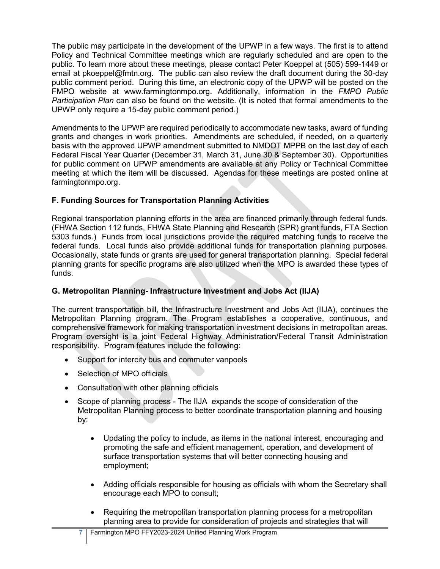The public may participate in the development of the UPWP in a few ways. The first is to attend Policy and Technical Committee meetings which are regularly scheduled and are open to the public. To learn more about these meetings, please contact Peter Koeppel at (505) 599-1449 or email at pkoeppel@fmtn.org. The public can also review the draft document during the 30-day public comment period. During this time, an electronic copy of the UPWP will be posted on the FMPO website at www.farmingtonmpo.org. Additionally, information in the *FMPO Public Participation Plan* can also be found on the website. (It is noted that formal amendments to the UPWP only require a 15-day public comment period.)

Amendments to the UPWP are required periodically to accommodate new tasks, award of funding grants and changes in work priorities. Amendments are scheduled, if needed, on a quarterly basis with the approved UPWP amendment submitted to NMDOT MPPB on the last day of each Federal Fiscal Year Quarter (December 31, March 31, June 30 & September 30). Opportunities for public comment on UPWP amendments are available at any Policy or Technical Committee meeting at which the item will be discussed. Agendas for these meetings are posted online at farmingtonmpo.org.

## **F. Funding Sources for Transportation Planning Activities**

Regional transportation planning efforts in the area are financed primarily through federal funds. (FHWA Section 112 funds, FHWA State Planning and Research (SPR) grant funds, FTA Section 5303 funds.) Funds from local jurisdictions provide the required matching funds to receive the federal funds. Local funds also provide additional funds for transportation planning purposes. Occasionally, state funds or grants are used for general transportation planning. Special federal planning grants for specific programs are also utilized when the MPO is awarded these types of funds.

## **G. Metropolitan Planning- Infrastructure Investment and Jobs Act (IIJA)**

The current transportation bill, the Infrastructure Investment and Jobs Act (IIJA), continues the Metropolitan Planning program. The Program establishes a cooperative, continuous, and comprehensive framework for making transportation investment decisions in metropolitan areas. Program oversight is a joint Federal Highway Administration/Federal Transit Administration responsibility. Program features include the following:

- Support for intercity bus and commuter vanpools
- Selection of MPO officials
- Consultation with other planning officials
- Scope of planning process The IIJA expands the scope of consideration of the Metropolitan Planning process to better coordinate transportation planning and housing by:
	- Updating the policy to include, as items in the national interest, encouraging and promoting the safe and efficient management, operation, and development of surface transportation systems that will better connecting housing and employment;
	- Adding officials responsible for housing as officials with whom the Secretary shall encourage each MPO to consult;
	- Requiring the metropolitan transportation planning process for a metropolitan planning area to provide for consideration of projects and strategies that will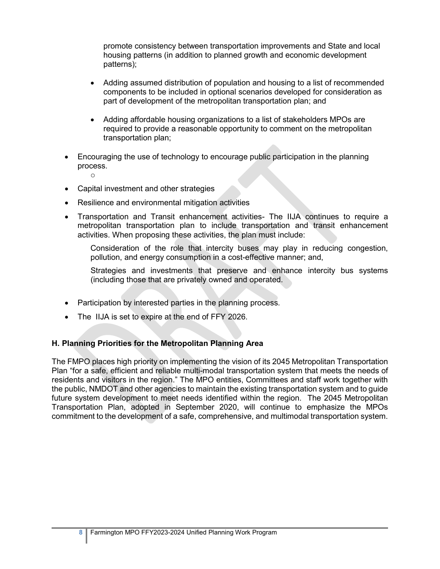promote consistency between transportation improvements and State and local housing patterns (in addition to planned growth and economic development patterns);

- Adding assumed distribution of population and housing to a list of recommended components to be included in optional scenarios developed for consideration as part of development of the metropolitan transportation plan; and
- Adding affordable housing organizations to a list of stakeholders MPOs are required to provide a reasonable opportunity to comment on the metropolitan transportation plan;
- Encouraging the use of technology to encourage public participation in the planning process.
- Capital investment and other strategies

o

- Resilience and environmental mitigation activities
- Transportation and Transit enhancement activities- The IIJA continues to require a metropolitan transportation plan to include transportation and transit enhancement activities. When proposing these activities, the plan must include:

Consideration of the role that intercity buses may play in reducing congestion, pollution, and energy consumption in a cost-effective manner; and,

Strategies and investments that preserve and enhance intercity bus systems (including those that are privately owned and operated.

- Participation by interested parties in the planning process.
- The IIJA is set to expire at the end of FFY 2026.

#### **H. Planning Priorities for the Metropolitan Planning Area**

The FMPO places high priority on implementing the vision of its 2045 Metropolitan Transportation Plan "for a safe, efficient and reliable multi-modal transportation system that meets the needs of residents and visitors in the region." The MPO entities, Committees and staff work together with the public, NMDOT and other agencies to maintain the existing transportation system and to guide future system development to meet needs identified within the region. The 2045 Metropolitan Transportation Plan, adopted in September 2020, will continue to emphasize the MPOs commitment to the development of a safe, comprehensive, and multimodal transportation system.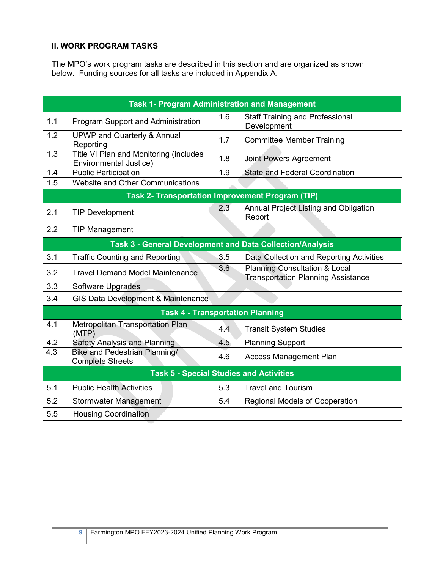## **II. WORK PROGRAM TASKS**

The MPO's work program tasks are described in this section and are organized as shown below. Funding sources for all tasks are included in Appendix A.

|                  | <b>Task 1- Program Administration and Management</b>             |     |                                                                                       |
|------------------|------------------------------------------------------------------|-----|---------------------------------------------------------------------------------------|
| 1.1              | Program Support and Administration                               | 1.6 | <b>Staff Training and Professional</b><br>Development                                 |
| 1.2              | <b>UPWP and Quarterly &amp; Annual</b><br>Reporting              | 1.7 | <b>Committee Member Training</b>                                                      |
| 1.3              | Title VI Plan and Monitoring (includes<br>Environmental Justice) | 1.8 | Joint Powers Agreement                                                                |
| 1.4              | <b>Public Participation</b>                                      | 1.9 | <b>State and Federal Coordination</b>                                                 |
| 1.5              | Website and Other Communications                                 |     |                                                                                       |
|                  | <b>Task 2- Transportation Improvement Program (TIP)</b>          |     |                                                                                       |
| 2.1              | <b>TIP Development</b>                                           | 2.3 | Annual Project Listing and Obligation<br>Report                                       |
| 2.2              | <b>TIP Management</b>                                            |     |                                                                                       |
|                  | Task 3 - General Development and Data Collection/Analysis        |     |                                                                                       |
| 3.1              | <b>Traffic Counting and Reporting</b>                            | 3.5 | Data Collection and Reporting Activities                                              |
| 3.2              | <b>Travel Demand Model Maintenance</b>                           | 3.6 | <b>Planning Consultation &amp; Local</b><br><b>Transportation Planning Assistance</b> |
| 3.3              | Software Upgrades                                                |     |                                                                                       |
| 3.4              | <b>GIS Data Development &amp; Maintenance</b>                    |     |                                                                                       |
|                  | <b>Task 4 - Transportation Planning</b>                          |     |                                                                                       |
| 4.1              | <b>Metropolitan Transportation Plan</b><br>(MTP)                 | 4.4 | <b>Transit System Studies</b>                                                         |
| 4.2              | <b>Safety Analysis and Planning</b>                              | 4.5 | <b>Planning Support</b>                                                               |
| $\overline{4.3}$ | <b>Bike and Pedestrian Planning/</b><br><b>Complete Streets</b>  | 4.6 | <b>Access Management Plan</b>                                                         |
|                  | <b>Task 5 - Special Studies and Activities</b>                   |     |                                                                                       |
| 5.1              | <b>Public Health Activities</b>                                  | 5.3 | <b>Travel and Tourism</b>                                                             |
| 5.2              | <b>Stormwater Management</b>                                     | 5.4 | <b>Regional Models of Cooperation</b>                                                 |
| 5.5              | <b>Housing Coordination</b>                                      |     |                                                                                       |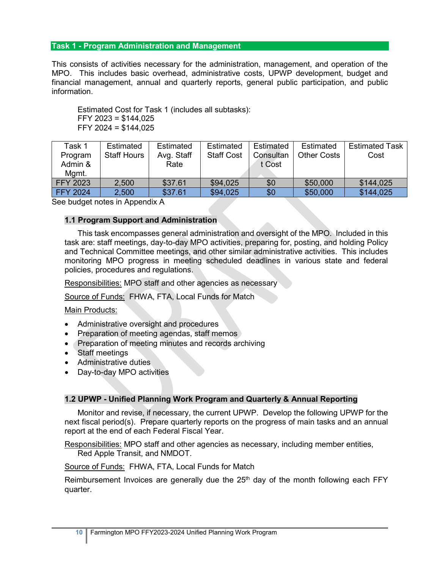#### **Task 1 - Program Administration and Management**

This consists of activities necessary for the administration, management, and operation of the MPO. This includes basic overhead, administrative costs, UPWP development, budget and financial management, annual and quarterly reports, general public participation, and public information.

Estimated Cost for Task 1 (includes all subtasks): FFY 2023 = \$144,025 FFY 2024 = \$144,025

| Task 1          | Estimated          | Estimated  | Estimated         | Estimated | Estimated          | <b>Estimated Task</b> |
|-----------------|--------------------|------------|-------------------|-----------|--------------------|-----------------------|
| Program         | <b>Staff Hours</b> | Avg. Staff | <b>Staff Cost</b> | Consultan | <b>Other Costs</b> | Cost                  |
| Admin &         |                    | Rate       |                   | t Cost    |                    |                       |
| Mgmt.           |                    |            |                   |           |                    |                       |
| <b>FFY 2023</b> | 2,500              | \$37.61    | \$94,025          | \$0       | \$50,000           | \$144,025             |
| <b>FFY 2024</b> | 2,500              | \$37.61    | \$94,025          | \$0       | \$50,000           | \$144,025             |

See budget notes in Appendix A

#### **1.1 Program Support and Administration**

This task encompasses general administration and oversight of the MPO. Included in this task are: staff meetings, day-to-day MPO activities, preparing for, posting, and holding Policy and Technical Committee meetings, and other similar administrative activities. This includes monitoring MPO progress in meeting scheduled deadlines in various state and federal policies, procedures and regulations.

Responsibilities: MPO staff and other agencies as necessary

Source of Funds: FHWA, FTA, Local Funds for Match

#### Main Products:

- Administrative oversight and procedures
- Preparation of meeting agendas, staff memos
- Preparation of meeting minutes and records archiving
- Staff meetings
- Administrative duties
- Day-to-day MPO activities

#### **1.2 UPWP - Unified Planning Work Program and Quarterly & Annual Reporting**

Monitor and revise, if necessary, the current UPWP. Develop the following UPWP for the next fiscal period(s). Prepare quarterly reports on the progress of main tasks and an annual report at the end of each Federal Fiscal Year.

Responsibilities: MPO staff and other agencies as necessary, including member entities, Red Apple Transit, and NMDOT.

Source of Funds: FHWA, FTA, Local Funds for Match

Reimbursement Invoices are generally due the  $25<sup>th</sup>$  day of the month following each FFY quarter.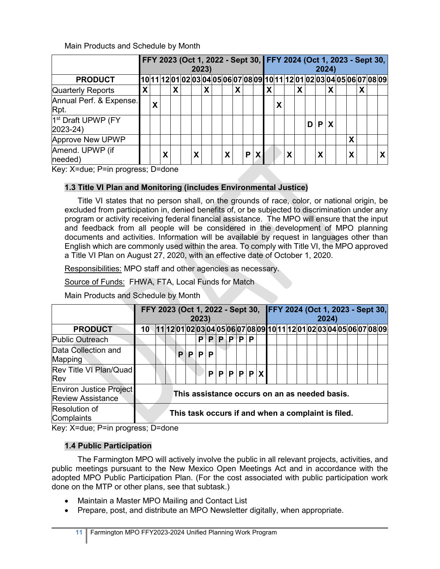Main Products and Schedule by Month

|                                               |   | FFY 2023 (Oct 1, 2022 - Sept 30, FFY 2024 (Oct 1, 2023 - Sept 30,<br>2023) |   |   |  |   |   |  |   |   |  |     | 2024) |   |  |   |   |   |   |                                                                          |   |  |  |    |
|-----------------------------------------------|---|----------------------------------------------------------------------------|---|---|--|---|---|--|---|---|--|-----|-------|---|--|---|---|---|---|--------------------------------------------------------------------------|---|--|--|----|
| <b>PRODUCT</b>                                |   |                                                                            |   |   |  |   |   |  |   |   |  |     |       |   |  |   |   |   |   | [10 11 12 01 02 03 04 05 06 07 08 09 10 11 12 01 02 03 04 05 06 07 08 09 |   |  |  |    |
| <b>Quarterly Reports</b>                      | X |                                                                            |   | Χ |  |   | X |  |   | χ |  |     | X     |   |  | х |   |   | X |                                                                          |   |  |  |    |
| Annual Perf. & Expense.<br>Rpt.               |   | χ                                                                          |   |   |  |   |   |  |   |   |  |     |       | Χ |  |   |   |   |   |                                                                          |   |  |  |    |
| 1 <sup>st</sup> Draft UPWP (FY<br>$2023 - 24$ |   |                                                                            |   |   |  |   |   |  |   |   |  |     |       |   |  |   | D | P |   |                                                                          |   |  |  |    |
| <b>Approve New UPWP</b>                       |   |                                                                            |   |   |  |   |   |  |   |   |  |     |       |   |  |   |   |   |   |                                                                          | Χ |  |  |    |
| Amend. UPWP (if<br>needed)                    |   |                                                                            | Χ |   |  | χ |   |  | X |   |  | P X |       |   |  |   |   | X |   |                                                                          | Χ |  |  | X. |

Key: X=due; P=in progress; D=done

## **1.3 Title VI Plan and Monitoring (includes Environmental Justice)**

Title VI states that no person shall, on the grounds of race, color, or national origin, be excluded from participation in, denied benefits of, or be subjected to discrimination under any program or activity receiving federal financial assistance. The MPO will ensure that the input and feedback from all people will be considered in the development of MPO planning documents and activities. Information will be available by request in languages other than English which are commonly used within the area. To comply with Title VI, the MPO approved a Title VI Plan on August 27, 2020, with an effective date of October 1, 2020.

Responsibilities: MPO staff and other agencies as necessary.

Source of Funds: FHWA, FTA, Local Funds for Match

Main Products and Schedule by Month

|                                                                                                 | FFY 2023 (Oct 1, 2022 - Sept 30, FFY 2024 (Oct 1, 2023 - Sept 30,<br>2023) |             |  |   |                                                                        |   |   |   |    |   |   |  |  |  | 2024) |  |  |  |  |  |  |  |  |  |  |
|-------------------------------------------------------------------------------------------------|----------------------------------------------------------------------------|-------------|--|---|------------------------------------------------------------------------|---|---|---|----|---|---|--|--|--|-------|--|--|--|--|--|--|--|--|--|--|
| <b>PRODUCT</b>                                                                                  | $10 -$                                                                     |             |  |   | \ 11 12 01 02 03 04 05 06 07 08 09 10 11 12 01 02 03 04 05 06 07 08 09 |   |   |   |    |   |   |  |  |  |       |  |  |  |  |  |  |  |  |  |  |
| <b>Public Outreach</b>                                                                          |                                                                            |             |  |   |                                                                        | P | P | P | ΡI | P | P |  |  |  |       |  |  |  |  |  |  |  |  |  |  |
| Data Collection and<br>Mapping                                                                  |                                                                            |             |  | P | P.                                                                     | P | P |   |    |   |   |  |  |  |       |  |  |  |  |  |  |  |  |  |  |
| Rev Title VI Plan/Quad<br>Rev                                                                   |                                                                            | P P P P P X |  |   |                                                                        |   |   |   |    |   |   |  |  |  |       |  |  |  |  |  |  |  |  |  |  |
| <b>Environ Justice Project</b><br><b>Review Assistance</b>                                      |                                                                            |             |  |   | This assistance occurs on an as needed basis.                          |   |   |   |    |   |   |  |  |  |       |  |  |  |  |  |  |  |  |  |  |
| Resolution of<br>Complaints<br>$\mathbf{r}$ $\mathbf{r}$ $\mathbf{r}$ $\mathbf{r}$ $\mathbf{r}$ |                                                                            |             |  |   | This task occurs if and when a complaint is filed.                     |   |   |   |    |   |   |  |  |  |       |  |  |  |  |  |  |  |  |  |  |

Key: X=due; P=in progress; D=done

## **1.4 Public Participation**

The Farmington MPO will actively involve the public in all relevant projects, activities, and public meetings pursuant to the New Mexico Open Meetings Act and in accordance with the adopted MPO Public Participation Plan. (For the cost associated with public participation work done on the MTP or other plans, see that subtask.)

- Maintain a Master MPO Mailing and Contact List
- Prepare, post, and distribute an MPO Newsletter digitally, when appropriate.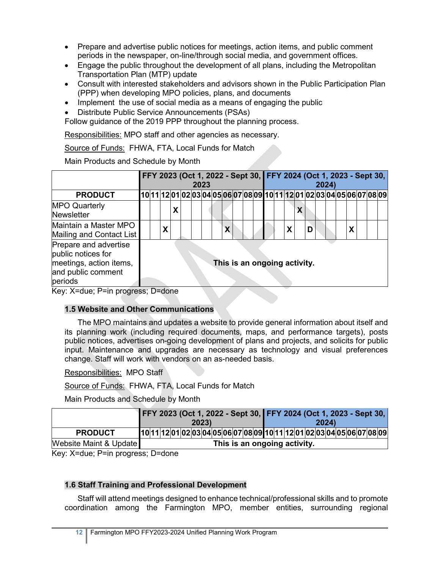- Prepare and advertise public notices for meetings, action items, and public comment periods in the newspaper, on-line/through social media, and government offices.
- Engage the public throughout the development of all plans, including the Metropolitan Transportation Plan (MTP) update
- Consult with interested stakeholders and advisors shown in the Public Participation Plan (PPP) when developing MPO policies, plans, and documents
- Implement the use of social media as a means of engaging the public
- Distribute Public Service Announcements (PSAs)

Follow guidance of the 2019 PPP throughout the planning process.

Responsibilities: MPO staff and other agencies as necessary.

Source of Funds: FHWA, FTA, Local Funds for Match

Main Products and Schedule by Month

|                                                                                                         |  |   | FFY 2023 (Oct 1, 2022 - Sept 30, FFY 2024 (Oct 1, 2023 - Sept 30, | 2023 |  |   |  |                              |  |   |   | 2024) |   |  |                                                                          |
|---------------------------------------------------------------------------------------------------------|--|---|-------------------------------------------------------------------|------|--|---|--|------------------------------|--|---|---|-------|---|--|--------------------------------------------------------------------------|
| <b>PRODUCT</b>                                                                                          |  |   |                                                                   |      |  |   |  |                              |  |   |   |       |   |  | [10 11 12 01 02 03 04 05 06 07 08 09 10 11 12 01 02 03 04 05 06 07 08 09 |
| <b>MPO Quarterly</b><br><b>Newsletter</b>                                                               |  |   |                                                                   |      |  |   |  |                              |  |   |   |       |   |  |                                                                          |
| Maintain a Master MPO<br>Mailing and Contact List                                                       |  | X |                                                                   |      |  | X |  |                              |  | X | D |       | Χ |  |                                                                          |
| Prepare and advertise<br>public notices for<br>meetings, action items,<br>and public comment<br>periods |  |   |                                                                   |      |  |   |  | This is an ongoing activity. |  |   |   |       |   |  |                                                                          |

Key: X=due; P=in progress; D=done

## **1.5 Website and Other Communications**

The MPO maintains and updates a website to provide general information about itself and its planning work (including required documents, maps, and performance targets), posts public notices, advertises on-going development of plans and projects, and solicits for public input. Maintenance and upgrades are necessary as technology and visual preferences change. Staff will work with vendors on an as-needed basis.

Responsibilities: MPO Staff

Source of Funds: FHWA, FTA, Local Funds for Match

Main Products and Schedule by Month

|                        |  |  |  |       |  |  |                              |  |  |  |       |  |  | FFY 2023 (Oct 1, 2022 - Sept 30, FFY 2024 (Oct 1, 2023 - Sept 30,       |
|------------------------|--|--|--|-------|--|--|------------------------------|--|--|--|-------|--|--|-------------------------------------------------------------------------|
|                        |  |  |  | 2023) |  |  |                              |  |  |  | 2024) |  |  |                                                                         |
| <b>PRODUCT</b>         |  |  |  |       |  |  |                              |  |  |  |       |  |  | 10 11 12 01 02 03 04 05 06 07 08 09 10 11 12 01 02 03 04 05 06 07 08 09 |
| Website Maint & Update |  |  |  |       |  |  | This is an ongoing activity. |  |  |  |       |  |  |                                                                         |

Key: X=due; P=in progress; D=done

## **1.6 Staff Training and Professional Development**

Staff will attend meetings designed to enhance technical/professional skills and to promote coordination among the Farmington MPO, member entities, surrounding regional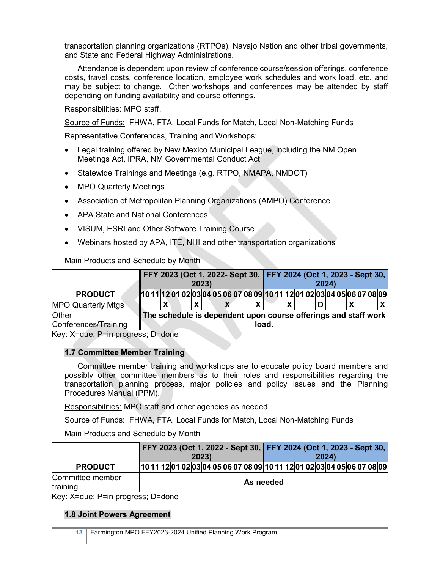transportation planning organizations (RTPOs), Navajo Nation and other tribal governments, and State and Federal Highway Administrations.

Attendance is dependent upon review of conference course/session offerings, conference costs, travel costs, conference location, employee work schedules and work load, etc. and may be subject to change. Other workshops and conferences may be attended by staff depending on funding availability and course offerings.

Responsibilities: MPO staff.

Source of Funds: FHWA, FTA, Local Funds for Match, Local Non-Matching Funds

Representative Conferences, Training and Workshops:

- Legal training offered by New Mexico Municipal League, including the NM Open Meetings Act, IPRA, NM Governmental Conduct Act
- Statewide Trainings and Meetings (e.g. RTPO, NMAPA, NMDOT)
- MPO Quarterly Meetings
- Association of Metropolitan Planning Organizations (AMPO) Conference
- APA State and National Conferences
- VISUM, ESRI and Other Software Training Course
- Webinars hosted by APA, ITE, NHI and other transportation organizations

Main Products and Schedule by Month

|                               |  |  |  | 2023) |  |  |       |  |  | 2024) |  |  | FFY 2023 (Oct 1, 2022- Sept 30, FFY 2024 (Oct 1, 2023 - Sept 30,         |
|-------------------------------|--|--|--|-------|--|--|-------|--|--|-------|--|--|--------------------------------------------------------------------------|
| <b>PRODUCT</b>                |  |  |  |       |  |  |       |  |  |       |  |  | [10 11 12 01 02 03 04 05 06 07 08 09 10 11 12 01 02 03 04 05 06 07 08 09 |
| <b>MPO Quarterly Mtgs</b>     |  |  |  |       |  |  |       |  |  |       |  |  |                                                                          |
| Other<br>Conferences/Training |  |  |  |       |  |  | load. |  |  |       |  |  | The schedule is dependent upon course offerings and staff work           |

Key: X=due; P=in progress; D=done

## **1.7 Committee Member Training**

Committee member training and workshops are to educate policy board members and possibly other committee members as to their roles and responsibilities regarding the transportation planning process, major policies and policy issues and the Planning Procedures Manual (PPM).

Responsibilities: MPO staff and other agencies as needed.

Source of Funds: FHWA, FTA, Local Funds for Match, Local Non-Matching Funds

Main Products and Schedule by Month

|                              |  |  | FFY 2023 (Oct 1, 2022 - Sept 30, FFY 2024 (Oct 1, 2023 - Sept 30,       | 2023) |  |  |  |           |  |  | 2024 |  |  |  |
|------------------------------|--|--|-------------------------------------------------------------------------|-------|--|--|--|-----------|--|--|------|--|--|--|
| <b>PRODUCT</b>               |  |  | 10 11 12 01 02 03 04 05 06 07 08 09 10 11 12 01 02 03 04 05 06 07 08 09 |       |  |  |  |           |  |  |      |  |  |  |
| Committee member<br>training |  |  |                                                                         |       |  |  |  | As needed |  |  |      |  |  |  |

Key: X=due; P=in progress; D=done

## **1.8 Joint Powers Agreement**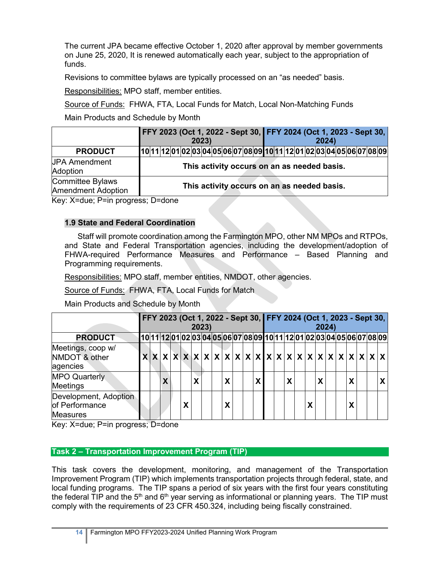The current JPA became effective October 1, 2020 after approval by member governments on June 25, 2020, It is renewed automatically each year, subject to the appropriation of funds.

Revisions to committee bylaws are typically processed on an "as needed" basis.

Responsibilities: MPO staff, member entities.

Source of Funds: FHWA, FTA, Local Funds for Match, Local Non-Matching Funds

Main Products and Schedule by Month

|  |  |                                               |  | 2023) |  |  |  | FFY 2023 (Oct 1, 2022 - Sept 30, FFY 2024 (Oct 1, 2023 - Sept 30, |  |  | 2024 |  |                                                                                            |                                                                         |
|--|--|-----------------------------------------------|--|-------|--|--|--|-------------------------------------------------------------------|--|--|------|--|--------------------------------------------------------------------------------------------|-------------------------------------------------------------------------|
|  |  |                                               |  |       |  |  |  |                                                                   |  |  |      |  |                                                                                            |                                                                         |
|  |  |                                               |  |       |  |  |  |                                                                   |  |  |      |  |                                                                                            |                                                                         |
|  |  |                                               |  |       |  |  |  |                                                                   |  |  |      |  |                                                                                            |                                                                         |
|  |  | $I_{\text{out}}$ V-due: D-in programs: D-dens |  |       |  |  |  |                                                                   |  |  |      |  | This activity occurs on an as needed basis.<br>This activity occurs on an as needed basis. | 10 11 12 01 02 03 04 05 06 07 08 09 10 11 12 01 02 03 04 05 06 07 08 09 |

Key: X=due; P=in progress; D=done

## **1.9 State and Federal Coordination**

Staff will promote coordination among the Farmington MPO, other NM MPOs and RTPOs, and State and Federal Transportation agencies, including the development/adoption of FHWA-required Performance Measures and Performance – Based Planning and Programming requirements.

Responsibilities: MPO staff, member entities, NMDOT, other agencies.

Source of Funds: FHWA, FTA, Local Funds for Match

Main Products and Schedule by Month

|                                                                        |  |   |   |   | 2023) |   |  |   |  |              |   | 2024) |  |   |  | FFY 2023 (Oct 1, 2022 - Sept 30, FFY 2024 (Oct 1, 2023 - Sept 30,       |
|------------------------------------------------------------------------|--|---|---|---|-------|---|--|---|--|--------------|---|-------|--|---|--|-------------------------------------------------------------------------|
| <b>PRODUCT</b>                                                         |  |   |   |   |       |   |  |   |  |              |   |       |  |   |  | 10 11 12 01 02 03 04 05 06 07 08 09 10 11 12 01 02 03 04 05 06 07 08 09 |
| Meetings, coop w/<br>NMDOT & other<br>agencies<br><b>MPO Quarterly</b> |  | χ |   | x |       | X |  | X |  | $\checkmark$ |   | X     |  | χ |  |                                                                         |
| <b>Meetings</b>                                                        |  |   |   |   |       |   |  |   |  |              |   |       |  |   |  |                                                                         |
| Development, Adoption<br>of Performance<br><b>Measures</b>             |  |   | X |   |       | X |  |   |  |              | χ |       |  | Χ |  |                                                                         |

Key: X=due; P=in progress; D=done

## **Task 2 – Transportation Improvement Program (TIP)**

This task covers the development, monitoring, and management of the Transportation Improvement Program (TIP) which implements transportation projects through federal, state, and local funding programs. The TIP spans a period of six years with the first four years constituting the federal TIP and the 5<sup>th</sup> and 6<sup>th</sup> year serving as informational or planning years. The TIP must comply with the requirements of 23 CFR 450.324, including being fiscally constrained.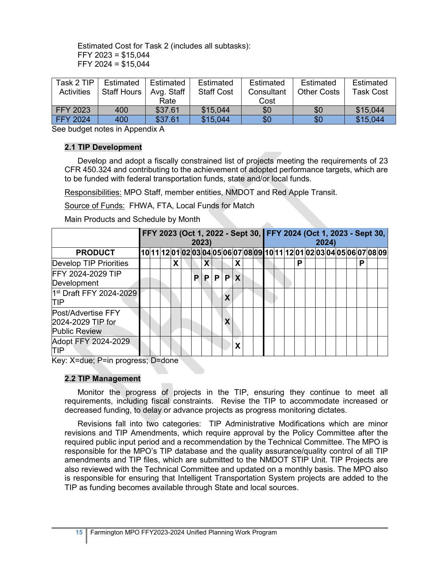Estimated Cost for Task 2 (includes all subtasks): FFY 2023 = \$15,044 FFY 2024 = \$15,044

| Task 2 TIP        | Estimated          | Estimated  | Estimated         | Estimated  | Estimated          | Estimated |
|-------------------|--------------------|------------|-------------------|------------|--------------------|-----------|
| <b>Activities</b> | <b>Staff Hours</b> | Avg. Staff | <b>Staff Cost</b> | Consultant | <b>Other Costs</b> | Task Cost |
|                   |                    | Rate       |                   | Cost       |                    |           |
| <b>FFY 2023</b>   | 400                | \$37.61    | \$15,044          | \$0        | \$0                | \$15,044  |
| <b>FFY 2024</b>   | 400                | \$37.61    | \$15.044          | \$0        | \$0                | \$15,044  |

See budget notes in Appendix A

#### **2.1 TIP Development**

Develop and adopt a fiscally constrained list of projects meeting the requirements of 23 CFR 450.324 and contributing to the achievement of adopted performance targets, which are to be funded with federal transportation funds, state and/or local funds.

Responsibilities: MPO Staff, member entities, NMDOT and Red Apple Transit.

Source of Funds: FHWA, FTA, Local Funds for Match

Main Products and Schedule by Month

|                                                                 |  |   | 2023) |   |    |   |   |  |  |   |  | 2024) |  |   | FFY 2023 (Oct 1, 2022 - Sept 30, FFY 2024 (Oct 1, 2023 - Sept 30,       |  |
|-----------------------------------------------------------------|--|---|-------|---|----|---|---|--|--|---|--|-------|--|---|-------------------------------------------------------------------------|--|
| <b>PRODUCT</b>                                                  |  |   |       |   |    |   |   |  |  |   |  |       |  |   | 10 11 12 01 02 03 04 05 06 07 08 09 10 11 12 01 02 03 04 05 06 07 08 09 |  |
| Develop TIP Priorities                                          |  | X |       | X |    |   | x |  |  | Р |  |       |  | P |                                                                         |  |
| FFY 2024-2029 TIP<br>Development                                |  |   | P     | P | P. | P | X |  |  |   |  |       |  |   |                                                                         |  |
| 1st Draft FFY 2024-2029<br><b>TIP</b>                           |  |   |       |   |    | χ |   |  |  |   |  |       |  |   |                                                                         |  |
| Post/Advertise FFY<br>2024-2029 TIP for<br><b>Public Review</b> |  |   |       |   |    |   |   |  |  |   |  |       |  |   |                                                                         |  |
| Adopt FFY 2024-2029<br>ΠP                                       |  |   |       |   |    |   |   |  |  |   |  |       |  |   |                                                                         |  |

Key: X=due; P=in progress; D=done

#### **2.2 TIP Management**

Monitor the progress of projects in the TIP, ensuring they continue to meet all requirements, including fiscal constraints. Revise the TIP to accommodate increased or decreased funding, to delay or advance projects as progress monitoring dictates.

Revisions fall into two categories: TIP Administrative Modifications which are minor revisions and TIP Amendments, which require approval by the Policy Committee after the required public input period and a recommendation by the Technical Committee. The MPO is responsible for the MPO's TIP database and the quality assurance/quality control of all TIP amendments and TIP files, which are submitted to the NMDOT STIP Unit. TIP Projects are also reviewed with the Technical Committee and updated on a monthly basis. The MPO also is responsible for ensuring that Intelligent Transportation System projects are added to the TIP as funding becomes available through State and local sources.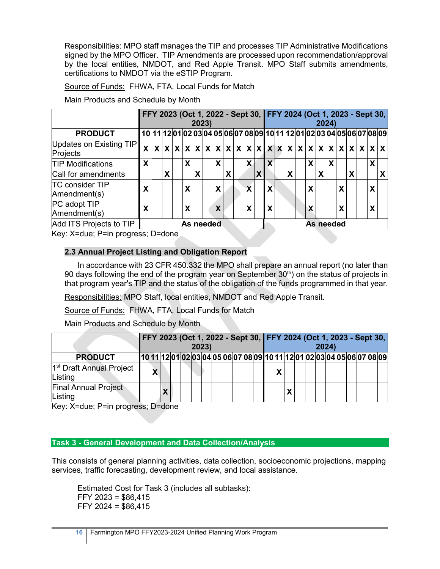Responsibilities: MPO staff manages the TIP and processes TIP Administrative Modifications signed by the MPO Officer. TIP Amendments are processed upon recommendation/approval by the local entities, NMDOT, and Red Apple Transit. MPO Staff submits amendments, certifications to NMDOT via the eSTIP Program.

Source of Funds: FHWA, FTA, Local Funds for Match

Main Products and Schedule by Month

|                                        |   |                                                                                                                                                                                                   |   |  |           | 2023) |  |   |   |  |                           |              |   |  |   |  |           | 2024) |   |   |   | FFY 2023 (Oct 1, 2022 - Sept 30, FFY 2024 (Oct 1, 2023 - Sept 30, |
|----------------------------------------|---|---------------------------------------------------------------------------------------------------------------------------------------------------------------------------------------------------|---|--|-----------|-------|--|---|---|--|---------------------------|--------------|---|--|---|--|-----------|-------|---|---|---|-------------------------------------------------------------------|
| <b>PRODUCT</b>                         |   |                                                                                                                                                                                                   |   |  |           |       |  |   |   |  |                           |              |   |  |   |  |           |       |   |   |   |                                                                   |
| Updates on Existing TIP<br>Projects    |   | 10  11  12  01  02  03  04  05  06  07  08  09  10  11  12  01  02  03  04  05  06  07  08  09 <br>$x x x x x x x x x x x x x x x x x x x x x x x x x x $<br>X<br>X<br>X<br>X<br>$\mathbf x$<br>X |   |  |           |       |  |   |   |  |                           |              |   |  |   |  |           |       |   |   |   |                                                                   |
| <b>TIP Modifications</b>               | X |                                                                                                                                                                                                   |   |  |           |       |  |   |   |  |                           |              |   |  |   |  |           |       |   |   | X |                                                                   |
| Call for amendments                    |   |                                                                                                                                                                                                   | X |  |           | X     |  |   | X |  |                           | $\mathbf{X}$ |   |  | X |  |           | X     |   | χ |   |                                                                   |
| <b>TC consider TIP</b><br>Amendment(s) | X |                                                                                                                                                                                                   |   |  | X         |       |  | X |   |  | $\boldsymbol{\mathsf{x}}$ |              | X |  |   |  |           |       | X |   | X |                                                                   |
| PC adopt TIP<br>Amendment(s)           | X |                                                                                                                                                                                                   |   |  | X         |       |  | X |   |  | X                         |              | X |  |   |  |           |       | χ |   | χ |                                                                   |
| Add ITS Projects to TIP                |   |                                                                                                                                                                                                   |   |  | As needed |       |  |   |   |  |                           |              |   |  |   |  | As needed |       |   |   |   |                                                                   |

Key: X=due; P=in progress; D=done

## **2.3 Annual Project Listing and Obligation Report**

In accordance with 23 CFR 450.332 the MPO shall prepare an annual report (no later than 90 days following the end of the program year on September  $30<sup>th</sup>$  on the status of projects in that program year's TIP and the status of the obligation of the funds programmed in that year.

Responsibilities: MPO Staff, local entities, NMDOT and Red Apple Transit.

Source of Funds: FHWA, FTA, Local Funds for Match

Main Products and Schedule by Month

|                                                 | FFY 2023 (Oct 1, 2022 - Sept 30, FFY 2024 (Oct 1, 2023 - Sept 30, |              |  | 2023) |  |  |  |   |  | 2024) |  |  |                                                                          |
|-------------------------------------------------|-------------------------------------------------------------------|--------------|--|-------|--|--|--|---|--|-------|--|--|--------------------------------------------------------------------------|
| <b>PRODUCT</b>                                  |                                                                   |              |  |       |  |  |  |   |  |       |  |  | [10 11 12 01 02 03 04 05 06 07 08 09 10 11 12 01 02 03 04 05 06 07 08 09 |
| 1 <sup>st</sup> Draft Annual Project<br>Listing |                                                                   | $\checkmark$ |  |       |  |  |  | Χ |  |       |  |  |                                                                          |
| <b>Final Annual Project</b><br>Listing          |                                                                   |              |  |       |  |  |  |   |  |       |  |  |                                                                          |

Key: X=due; P=in progress; D=done

#### **Task 3 - General Development and Data Collection/Analysis**

This consists of general planning activities, data collection, socioeconomic projections, mapping services, traffic forecasting, development review, and local assistance.

Estimated Cost for Task 3 (includes all subtasks): FFY 2023 = \$86,415 FFY 2024 = \$86,415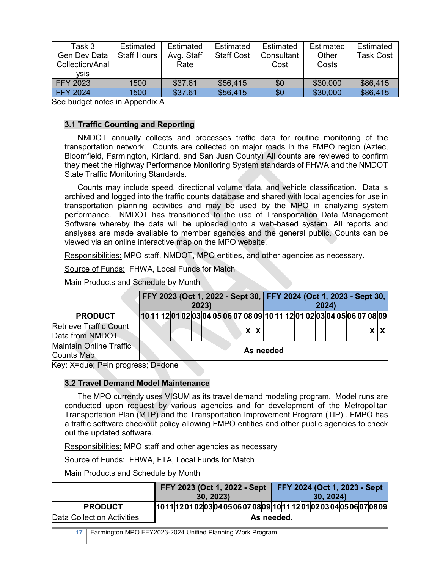| Task 3<br>Gen Dev Data<br>Collection/Anal<br>vsis | Estimated<br><b>Staff Hours</b> | Estimated<br>Avg. Staff<br>Rate | Estimated<br><b>Staff Cost</b> | Estimated<br>Consultant<br>Cost | Estimated<br>Other<br>Costs | Estimated<br>Task Cost |
|---------------------------------------------------|---------------------------------|---------------------------------|--------------------------------|---------------------------------|-----------------------------|------------------------|
| <b>FFY 2023</b>                                   | 1500                            | \$37.61                         | \$56,415                       | \$0                             | \$30,000                    | \$86,415               |
| <b>FFY 2024</b>                                   | 1500                            | \$37.61                         | \$56,415                       | \$0                             | \$30,000                    | \$86,415               |

See budget notes in Appendix A

#### **3.1 Traffic Counting and Reporting**

NMDOT annually collects and processes traffic data for routine monitoring of the transportation network. Counts are collected on major roads in the FMPO region (Aztec, Bloomfield, Farmington, Kirtland, and San Juan County) All counts are reviewed to confirm they meet the Highway Performance Monitoring System standards of FHWA and the NMDOT State Traffic Monitoring Standards.

Counts may include speed, directional volume data, and vehicle classification. Data is archived and logged into the traffic counts database and shared with local agencies for use in transportation planning activities and may be used by the MPO in analyzing system performance. NMDOT has transitioned to the use of Transportation Data Management Software whereby the data will be uploaded onto a web-based system. All reports and analyses are made available to member agencies and the general public. Counts can be viewed via an online interactive map on the MPO website.

Responsibilities: MPO staff, NMDOT, MPO entities, and other agencies as necessary.

Source of Funds: FHWA, Local Funds for Match

Main Products and Schedule by Month

|                                                     |  |  | FFY 2023 (Oct 1, 2022 - Sept 30, FFY 2024 (Oct 1, 2023 - Sept 30,<br>2023) |  |  |           |  |  | 2024 |  |  |     |
|-----------------------------------------------------|--|--|----------------------------------------------------------------------------|--|--|-----------|--|--|------|--|--|-----|
| <b>PRODUCT</b>                                      |  |  | [10 11 12 01 02 03 04 05 06 07 08 09 10 11 12 01 02 03 04 05 06 07 08 09   |  |  |           |  |  |      |  |  |     |
| <b>Retrieve Traffic Count</b><br>Data from NMDOT    |  |  |                                                                            |  |  | X X       |  |  |      |  |  | X X |
| <b>Maintain Online Traffic</b><br><b>Counts Map</b> |  |  |                                                                            |  |  | As needed |  |  |      |  |  |     |

Key: X=due; P=in progress; D=done

#### **3.2 Travel Demand Model Maintenance**

The MPO currently uses VISUM as its travel demand modeling program. Model runs are conducted upon request by various agencies and for development of the Metropolitan Transportation Plan (MTP) and the Transportation Improvement Program (TIP).. FMPO has a traffic software checkout policy allowing FMPO entities and other public agencies to check out the updated software.

Responsibilities: MPO staff and other agencies as necessary

Source of Funds: FHWA, FTA, Local Funds for Match

Main Products and Schedule by Month

|                            | FFY 2023 (Oct 1, 2022 - Sept<br>(30, 2023) | $\textsf{FFT}$ 2024 (Oct 1, 2023 - Sept<br>30, 2024                   |
|----------------------------|--------------------------------------------|-----------------------------------------------------------------------|
| <b>PRODUCT</b>             |                                            | 10 11 2 01 02 03 04 05 06 07 08 09 10 11 2 01 02 03 04 05 06 07 08 09 |
| Data Collection Activities |                                            | As needed.                                                            |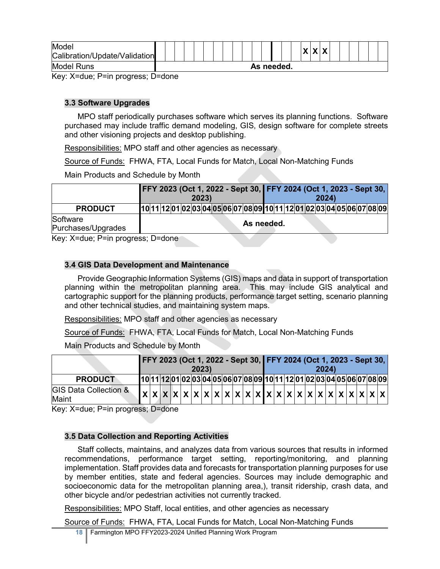| Model                         |  |  |  |  |  |  |            |  | $\mathbf{v}$ |   |  |  |  |
|-------------------------------|--|--|--|--|--|--|------------|--|--------------|---|--|--|--|
| Calibration/Update/Validation |  |  |  |  |  |  |            |  | $\mathbf{A}$ | ↗ |  |  |  |
| Model Runs                    |  |  |  |  |  |  | As needed. |  |              |   |  |  |  |

Key: X=due; P=in progress; D=done

## **3.3 Software Upgrades**

MPO staff periodically purchases software which serves its planning functions. Software purchased may include traffic demand modeling, GIS, design software for complete streets and other visioning projects and desktop publishing.

Responsibilities: MPO staff and other agencies as necessary

Source of Funds: FHWA, FTA, Local Funds for Match, Local Non-Matching Funds

Main Products and Schedule by Month

|                                   |       | FFY 2023 (Oct 1, 2022 - Sept 30, FFY 2024 (Oct 1, 2023 - Sept 30,       |
|-----------------------------------|-------|-------------------------------------------------------------------------|
|                                   | 2023) | 2024)                                                                   |
| <b>PRODUCT</b>                    |       | 10 11 12 01 02 03 04 05 06 07 08 09 10 11 12 01 02 03 04 05 06 07 08 09 |
| Software                          |       | As needed.                                                              |
| Purchases/Upgrades                |       |                                                                         |
| Key: X=due: P=in progress: D=done |       |                                                                         |

Key: X=due; P=in progress; D=done

## **3.4 GIS Data Development and Maintenance**

Provide Geographic Information Systems (GIS) maps and data in support of transportation planning within the metropolitan planning area. This may include GIS analytical and cartographic support for the planning products, performance target setting, scenario planning and other technical studies, and maintaining system maps.

Responsibilities: MPO staff and other agencies as necessary

Source of Funds: FHWA, FTA, Local Funds for Match, Local Non-Matching Funds

Main Products and Schedule by Month

|                                           |  |  | 2023) |  |  |  |  |  | 2024 |  |  | FFY 2023 (Oct 1, 2022 - Sept 30, FFY 2024 (Oct 1, 2023 - Sept 30,       |
|-------------------------------------------|--|--|-------|--|--|--|--|--|------|--|--|-------------------------------------------------------------------------|
| <b>PRODUCT</b>                            |  |  |       |  |  |  |  |  |      |  |  | 10 11 12 01 02 03 04 05 06 07 08 09 10 11 12 01 02 03 04 05 06 07 08 09 |
| <b>GIS Data Collection &amp;</b><br>Maint |  |  |       |  |  |  |  |  |      |  |  |                                                                         |

Key: X=due; P=in progress; D=done

## **3.5 Data Collection and Reporting Activities**

Staff collects, maintains, and analyzes data from various sources that results in informed recommendations, performance target setting, reporting/monitoring, and planning implementation. Staff provides data and forecasts for transportation planning purposes for use by member entities, state and federal agencies. Sources may include demographic and socioeconomic data for the metropolitan planning area,), transit ridership, crash data, and other bicycle and/or pedestrian activities not currently tracked.

Responsibilities: MPO Staff, local entities, and other agencies as necessary

Source of Funds: FHWA, FTA, Local Funds for Match, Local Non-Matching Funds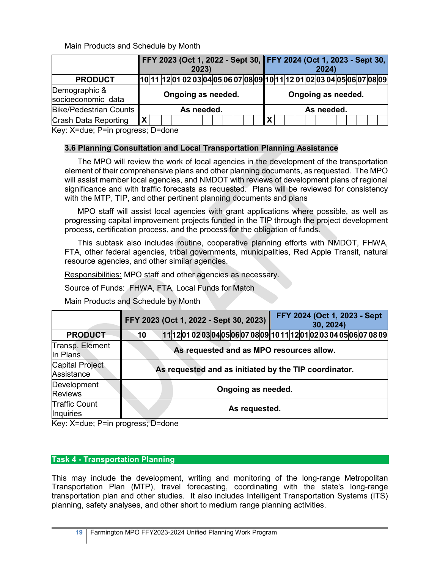Main Products and Schedule by Month

|                                     |                           | FFY 2023 (Oct 1, 2022 - Sept 30, FFY 2024 (Oct 1, 2023 - Sept 30,       |                    | 2023) |  |  |  |   |  |                    | 2024) |  |  |  |
|-------------------------------------|---------------------------|-------------------------------------------------------------------------|--------------------|-------|--|--|--|---|--|--------------------|-------|--|--|--|
| <b>PRODUCT</b>                      |                           | 10 11 12 01 02 03 04 05 06 07 08 09 10 11 12 01 02 03 04 05 06 07 08 09 |                    |       |  |  |  |   |  |                    |       |  |  |  |
| Demographic &<br>socioeconomic data |                           |                                                                         | Ongoing as needed. |       |  |  |  |   |  | Ongoing as needed. |       |  |  |  |
| <b>Bike/Pedestrian Counts</b>       |                           |                                                                         | As needed.         |       |  |  |  |   |  | As needed.         |       |  |  |  |
| Crash Data Reporting                | $\boldsymbol{\mathsf{X}}$ |                                                                         |                    |       |  |  |  | X |  |                    |       |  |  |  |

Key: X=due; P=in progress; D=done

## **3.6 Planning Consultation and Local Transportation Planning Assistance**

The MPO will review the work of local agencies in the development of the transportation element of their comprehensive plans and other planning documents, as requested. The MPO will assist member local agencies, and NMDOT with reviews of development plans of regional significance and with traffic forecasts as requested. Plans will be reviewed for consistency with the MTP, TIP, and other pertinent planning documents and plans

MPO staff will assist local agencies with grant applications where possible, as well as progressing capital improvement projects funded in the TIP through the project development process, certification process, and the process for the obligation of funds.

This subtask also includes routine, cooperative planning efforts with NMDOT, FHWA, FTA, other federal agencies, tribal governments, municipalities, Red Apple Transit, natural resource agencies, and other similar agencies.

Responsibilities: MPO staff and other agencies as necessary.

Source of Funds: FHWA, FTA, Local Funds for Match

Main Products and Schedule by Month

|                                          |    | FFY 2023 (Oct 1, 2022 - Sept 30, 2023)                               |                    | FFY 2024 (Oct 1, 2023 - Sept<br>30, 2024) |  |
|------------------------------------------|----|----------------------------------------------------------------------|--------------------|-------------------------------------------|--|
| <b>PRODUCT</b>                           | 10 | 11 12 01 02 03 04 05 06 07 08 09 10 11 12 01 02 03 04 05 06 07 08 09 |                    |                                           |  |
| Transp. Element<br>In Plans              |    | As requested and as MPO resources allow.                             |                    |                                           |  |
| <b>Capital Project</b><br>Assistance     |    | As requested and as initiated by the TIP coordinator.                |                    |                                           |  |
| Development<br><b>Reviews</b>            |    |                                                                      | Ongoing as needed. |                                           |  |
| <b>Traffic Count</b><br><b>Inquiries</b> |    |                                                                      | As requested.      |                                           |  |

Key: X=due; P=in progress; D=done

## **Task 4 - Transportation Planning**

This may include the development, writing and monitoring of the long-range Metropolitan Transportation Plan (MTP), travel forecasting, coordinating with the state's long-range transportation plan and other studies. It also includes Intelligent Transportation Systems (ITS) planning, safety analyses, and other short to medium range planning activities.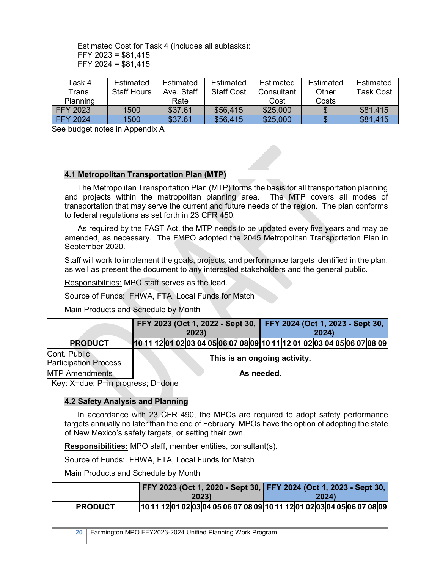Estimated Cost for Task 4 (includes all subtasks): FFY 2023 = \$81,415 FFY 2024 = \$81,415

| Task 4          | Estimated          | Estimated  | Estimated         | Estimated  | Estimated | Estimated |
|-----------------|--------------------|------------|-------------------|------------|-----------|-----------|
| Trans.          | <b>Staff Hours</b> | Ave. Staff | <b>Staff Cost</b> | Consultant | Other     | Task Cost |
| Planning        |                    | Rate       |                   | Cost       | Costs     |           |
| FFY 2023        | 1500               | \$37.61    | \$56,415          | \$25,000   |           | \$81,415  |
| <b>FFY 2024</b> | 1500               | \$37.61    | \$56,415          | \$25,000   |           | \$81.415  |

See budget notes in Appendix A

#### **4.1 Metropolitan Transportation Plan (MTP)**

The Metropolitan Transportation Plan (MTP) forms the basis for all transportation planning and projects within the metropolitan planning area. The MTP covers all modes of transportation that may serve the current and future needs of the region. The plan conforms to federal regulations as set forth in 23 CFR 450.

As required by the FAST Act, the MTP needs to be updated every five years and may be amended, as necessary. The FMPO adopted the 2045 Metropolitan Transportation Plan in September 2020.

Staff will work to implement the goals, projects, and performance targets identified in the plan, as well as present the document to any interested stakeholders and the general public.

Responsibilities: MPO staff serves as the lead.

Source of Funds: FHWA, FTA, Local Funds for Match

Main Products and Schedule by Month

|                                              |  |  |  | 2023) |  |  |                              |  |  | 2024) |  | FFY 2023 (Oct 1, 2022 - Sept 30, FFY 2024 (Oct 1, 2023 - Sept 30,       |  |  |
|----------------------------------------------|--|--|--|-------|--|--|------------------------------|--|--|-------|--|-------------------------------------------------------------------------|--|--|
| <b>PRODUCT</b>                               |  |  |  |       |  |  |                              |  |  |       |  | 10 11 12 01 02 03 04 05 06 07 08 09 10 11 12 01 02 03 04 05 06 07 08 09 |  |  |
| Cont. Public<br><b>Participation Process</b> |  |  |  |       |  |  | This is an ongoing activity. |  |  |       |  |                                                                         |  |  |
| <b>MTP Amendments</b>                        |  |  |  |       |  |  | As needed.                   |  |  |       |  |                                                                         |  |  |

Key: X=due; P=in progress; D=done

#### **4.2 Safety Analysis and Planning**

In accordance with 23 CFR 490, the MPOs are required to adopt safety performance targets annually no later than the end of February. MPOs have the option of adopting the state of New Mexico's safety targets, or setting their own.

**Responsibilities:** MPO staff, member entities, consultant(s).

Source of Funds: FHWA, FTA, Local Funds for Match

Main Products and Schedule by Month

|                |       | FFY 2023 (Oct 1, 2020 - Sept 30, FFY 2024 (Oct 1, 2023 - Sept 30,       |
|----------------|-------|-------------------------------------------------------------------------|
|                | 2023) | 2024)                                                                   |
| <b>PRODUCT</b> |       | 10 11 12 01 02 03 04 05 06 07 08 09 10 11 12 01 02 03 04 05 06 07 08 09 |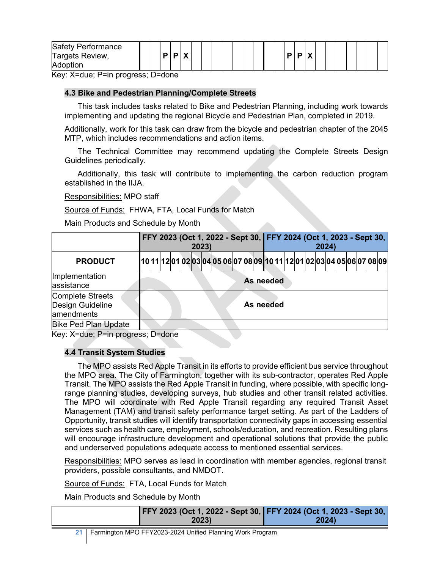|  | Safety Performance<br>Targets Review,<br>Adoption |  |  |  | $\mathbf{v}$ |  |  |  |  |  |  |  |  |  | Ð |  | $\mathbf{v}$<br>" |  |  |  |  |  |  |  |
|--|---------------------------------------------------|--|--|--|--------------|--|--|--|--|--|--|--|--|--|---|--|-------------------|--|--|--|--|--|--|--|
|--|---------------------------------------------------|--|--|--|--------------|--|--|--|--|--|--|--|--|--|---|--|-------------------|--|--|--|--|--|--|--|

Key: X=due; P=in progress; D=done

#### **4.3 Bike and Pedestrian Planning/Complete Streets**

This task includes tasks related to Bike and Pedestrian Planning, including work towards implementing and updating the regional Bicycle and Pedestrian Plan, completed in 2019.

Additionally, work for this task can draw from the bicycle and pedestrian chapter of the 2045 MTP, which includes recommendations and action items.

The Technical Committee may recommend updating the Complete Streets Design Guidelines periodically.

Additionally, this task will contribute to implementing the carbon reduction program established in the IIJA.

Responsibilities: MPO staff

Source of Funds: FHWA, FTA, Local Funds for Match

Main Products and Schedule by Month

|                                                           |  |  | 2023) |  | FFY 2023 (Oct 1, 2022 - Sept 30, FFY 2024 (Oct 1, 2023 - Sept 30,        |  |           |  |  | 2024) |  |  |  |
|-----------------------------------------------------------|--|--|-------|--|--------------------------------------------------------------------------|--|-----------|--|--|-------|--|--|--|
| <b>PRODUCT</b>                                            |  |  |       |  | [10 11 12 01 02 03 04 05 06 07 08 09 10 11 12 01 02 03 04 05 06 07 08 09 |  |           |  |  |       |  |  |  |
| Implementation<br>assistance                              |  |  |       |  |                                                                          |  | As needed |  |  |       |  |  |  |
| <b>Complete Streets</b><br>Design Guideline<br>amendments |  |  |       |  |                                                                          |  | As needed |  |  |       |  |  |  |
| <b>Bike Ped Plan Update</b>                               |  |  |       |  |                                                                          |  |           |  |  |       |  |  |  |

Key: X=due; P=in progress; D=done

#### **4.4 Transit System Studies**

The MPO assists Red Apple Transit in its efforts to provide efficient bus service throughout the MPO area. The City of Farmington, together with its sub-contractor, operates Red Apple Transit. The MPO assists the Red Apple Transit in funding, where possible, with specific longrange planning studies, developing surveys, hub studies and other transit related activities. The MPO will coordinate with Red Apple Transit regarding any required Transit Asset Management (TAM) and transit safety performance target setting. As part of the Ladders of Opportunity, transit studies will identify transportation connectivity gaps in accessing essential services such as health care, employment, schools/education, and recreation. Resulting plans will encourage infrastructure development and operational solutions that provide the public and underserved populations adequate access to mentioned essential services.

Responsibilities: MPO serves as lead in coordination with member agencies, regional transit providers, possible consultants, and NMDOT.

Source of Funds: FTA, Local Funds for Match

Main Products and Schedule by Month

|       | FFY 2023 (Oct 1, 2022 - Sept 30, FFY 2024 (Oct 1, 2023 - Sept 30, |
|-------|-------------------------------------------------------------------|
| 2023) | <b>2024</b> )                                                     |

**21** Farmington MPO FFY2023-2024 Unified Planning Work Program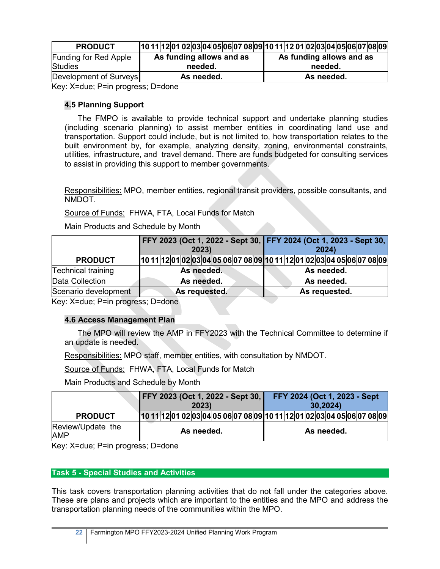| <b>PRODUCT</b>               | $10 11 12 01 02 03 04 05 06 07 08 09 10 11 12 01 02 03 04 05 06 07 08 09$ |                          |
|------------------------------|---------------------------------------------------------------------------|--------------------------|
| <b>Funding for Red Apple</b> | As funding allows and as                                                  | As funding allows and as |
| <b>Studies</b>               | needed.                                                                   | needed.                  |
| Development of Surveys       | As needed.                                                                | As needed.               |

Key: X=due; P=in progress; D=done

## **4.5 Planning Support**

The FMPO is available to provide technical support and undertake planning studies (including scenario planning) to assist member entities in coordinating land use and transportation. Support could include, but is not limited to, how transportation relates to the built environment by, for example, analyzing density, zoning, environmental constraints, utilities, infrastructure, and travel demand. There are funds budgeted for consulting services to assist in providing this support to member governments.

Responsibilities: MPO, member entities, regional transit providers, possible consultants, and NMDOT.

Source of Funds: FHWA, FTA, Local Funds for Match

Main Products and Schedule by Month

|                           | FFY 2023 (Oct 1, 2022 - Sept 30, FFY 2024 (Oct 1, 2023 - Sept 30,<br>2023) | 2024)         |
|---------------------------|----------------------------------------------------------------------------|---------------|
| <b>PRODUCT</b>            | 10 11 12 01 02 03 04 05 06 07 08 09 10 11 12 01 02 03 04 05 06 07 08 09    |               |
| <b>Technical training</b> | As needed.                                                                 | As needed.    |
| Data Collection           | As needed.                                                                 | As needed.    |
| Scenario development      | As requested.                                                              | As requested. |

Key: X=due; P=in progress; D=done

## **4.6 Access Management Plan**

The MPO will review the AMP in FFY2023 with the Technical Committee to determine if an update is needed.

Responsibilities: MPO staff, member entities, with consultation by NMDOT.

Source of Funds: FHWA, FTA, Local Funds for Match

Main Products and Schedule by Month

|                                 | <b>FFY 2023 (Oct 1, 2022 - Sept 30,</b>                                 |  |            | 2023) |  |  |  |  |  | 30,2024)   |  | FFY 2024 (Oct 1, 2023 - Sept |  |  |
|---------------------------------|-------------------------------------------------------------------------|--|------------|-------|--|--|--|--|--|------------|--|------------------------------|--|--|
| <b>PRODUCT</b>                  | 10 11 12 01 02 03 04 05 06 07 08 09 10 11 12 01 02 03 04 05 06 07 08 09 |  |            |       |  |  |  |  |  |            |  |                              |  |  |
| Review/Update the<br><b>AMP</b> |                                                                         |  | As needed. |       |  |  |  |  |  | As needed. |  |                              |  |  |

Key: X=due; P=in progress; D=done

## **Task 5 - Special Studies and Activities**

This task covers transportation planning activities that do not fall under the categories above. These are plans and projects which are important to the entities and the MPO and address the transportation planning needs of the communities within the MPO.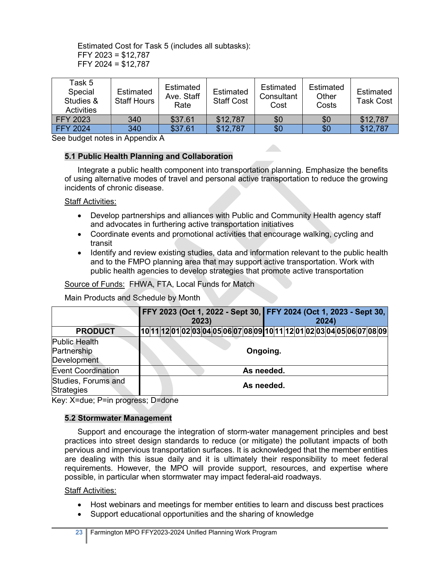Estimated Cost for Task 5 (includes all subtasks): FFY 2023 = \$12,787 FFY 2024 = \$12,787

| Task 5<br>Special<br>Studies &<br><b>Activities</b> | Estimated<br><b>Staff Hours</b> | Estimated<br>Ave. Staff<br>Rate | Estimated<br><b>Staff Cost</b> | Estimated<br>Consultant<br>Cost | Estimated<br>Other<br>Costs | Estimated<br><b>Task Cost</b> |
|-----------------------------------------------------|---------------------------------|---------------------------------|--------------------------------|---------------------------------|-----------------------------|-------------------------------|
| <b>FFY 2023</b>                                     | 340                             | \$37.61                         | \$12,787                       | \$0                             | \$0                         | \$12,787                      |
| <b>FFY 2024</b>                                     | 340                             | \$37.61                         | \$12,787                       | \$0                             | \$0                         | \$12,787                      |

See budget notes in Appendix A

## **5.1 Public Health Planning and Collaboration**

Integrate a public health component into transportation planning. Emphasize the benefits of using alternative modes of travel and personal active transportation to reduce the growing incidents of chronic disease.

#### Staff Activities:

- Develop partnerships and alliances with Public and Community Health agency staff and advocates in furthering active transportation initiatives
- Coordinate events and promotional activities that encourage walking, cycling and transit
- Identify and review existing studies, data and information relevant to the public health and to the FMPO planning area that may support active transportation. Work with public health agencies to develop strategies that promote active transportation

### Source of Funds: FHWA, FTA, Local Funds for Match

Main Products and Schedule by Month

|                                             | FFY 2023 (Oct 1, 2022 - Sept 30, FFY 2024 (Oct 1, 2023 - Sept 30,<br>2024)<br>2023) |
|---------------------------------------------|-------------------------------------------------------------------------------------|
| <b>PRODUCT</b>                              | [10 11 12 01 02 03 04 05 06 07 08 09 10 11 12 01 02 03 04 05 06 07 08 09            |
| Public Health<br>Partnership<br>Development | Ongoing.                                                                            |
| <b>Event Coordination</b>                   | As needed.                                                                          |
| Studies, Forums and<br><b>Strategies</b>    | As needed.                                                                          |

Key: X=due; P=in progress; D=done

#### **5.2 Stormwater Management**

Support and encourage the integration of storm-water management principles and best practices into street design standards to reduce (or mitigate) the pollutant impacts of both pervious and impervious transportation surfaces. It is acknowledged that the member entities are dealing with this issue daily and it is ultimately their responsibility to meet federal requirements. However, the MPO will provide support, resources, and expertise where possible, in particular when stormwater may impact federal-aid roadways.

#### Staff Activities:

- Host webinars and meetings for member entities to learn and discuss best practices
- Support educational opportunities and the sharing of knowledge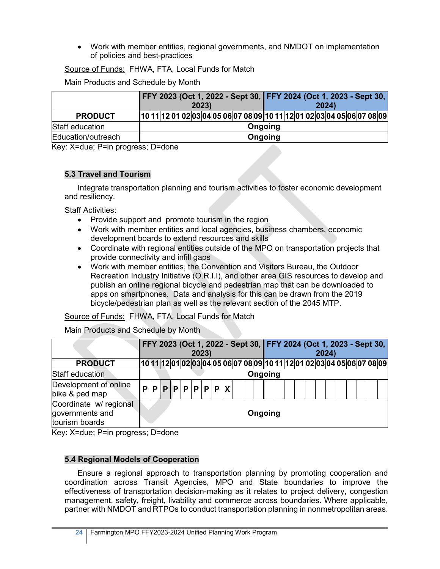• Work with member entities, regional governments, and NMDOT on implementation of policies and best-practices

Source of Funds: FHWA, FTA, Local Funds for Match

Main Products and Schedule by Month

|                    |  |  | FFY 2023 (Oct 1, 2022 - Sept 30, FFY 2024 (Oct 1, 2023 - Sept 30,       | 2023) |  |  |         |  |  | 2024) |  |  |  |
|--------------------|--|--|-------------------------------------------------------------------------|-------|--|--|---------|--|--|-------|--|--|--|
| <b>PRODUCT</b>     |  |  | 10 11 12 01 02 03 04 05 06 07 08 09 10 11 12 01 02 03 04 05 06 07 08 09 |       |  |  |         |  |  |       |  |  |  |
| Staff education    |  |  |                                                                         |       |  |  | Ongoing |  |  |       |  |  |  |
| Education/outreach |  |  |                                                                         |       |  |  | Ongoing |  |  |       |  |  |  |

Key: X=due; P=in progress; D=done

## **5.3 Travel and Tourism**

Integrate transportation planning and tourism activities to foster economic development and resiliency.

Staff Activities:

- Provide support and promote tourism in the region
- Work with member entities and local agencies, business chambers, economic development boards to extend resources and skills
- Coordinate with regional entities outside of the MPO on transportation projects that provide connectivity and infill gaps
- Work with member entities, the Convention and Visitors Bureau, the Outdoor Recreation Industry Initiative (O.R.I.I), and other area GIS resources to develop and publish an online regional bicycle and pedestrian map that can be downloaded to apps on smartphones. Data and analysis for this can be drawn from the 2019 bicycle/pedestrian plan as well as the relevant section of the 2045 MTP.

Source of Funds: FHWA, FTA, Local Funds for Match

Main Products and Schedule by Month

|                                                             |  |  |                   | 2023) |  |  |         |  |  |  | 2024) |  |  | FFY 2023 (Oct 1, 2022 - Sept 30, FFY 2024 (Oct 1, 2023 - Sept 30,       |
|-------------------------------------------------------------|--|--|-------------------|-------|--|--|---------|--|--|--|-------|--|--|-------------------------------------------------------------------------|
| <b>PRODUCT</b>                                              |  |  |                   |       |  |  |         |  |  |  |       |  |  | 10 11 12 01 02 03 04 05 06 07 08 09 10 11 12 01 02 03 04 05 06 07 08 09 |
| Staff education                                             |  |  |                   |       |  |  | Ongoing |  |  |  |       |  |  |                                                                         |
| Development of online<br>bike & ped map                     |  |  | P P P P P P P P X |       |  |  |         |  |  |  |       |  |  |                                                                         |
| Coordinate w/ regional<br>governments and<br>tourism boards |  |  |                   |       |  |  | Ongoing |  |  |  |       |  |  |                                                                         |

Key: X=due; P=in progress; D=done

## **5.4 Regional Models of Cooperation**

Ensure a regional approach to transportation planning by promoting cooperation and coordination across Transit Agencies, MPO and State boundaries to improve the effectiveness of transportation decision-making as it relates to project delivery, congestion management, safety, freight, livability and commerce across boundaries. Where applicable, partner with NMDOT and RTPOs to conduct transportation planning in nonmetropolitan areas.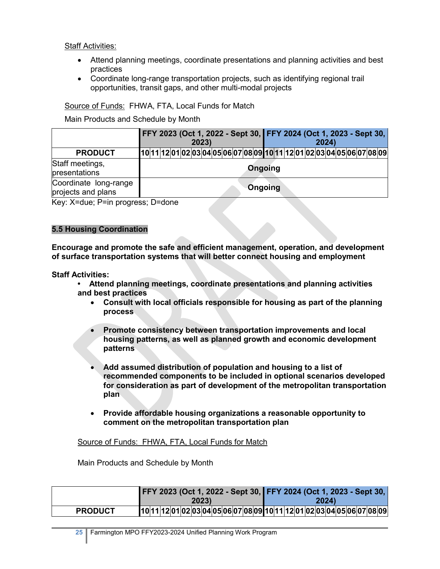### Staff Activities:

- Attend planning meetings, coordinate presentations and planning activities and best practices
- Coordinate long-range transportation projects, such as identifying regional trail opportunities, transit gaps, and other multi-modal projects

## Source of Funds: FHWA, FTA, Local Funds for Match

Main Products and Schedule by Month

|                                             | FFY 2023 (Oct 1, 2022 - Sept 30, FFY 2024 (Oct 1, 2023 - Sept 30,       | 2023) |  |         |  | 2024) |  |  |
|---------------------------------------------|-------------------------------------------------------------------------|-------|--|---------|--|-------|--|--|
| <b>PRODUCT</b>                              | 10 11 12 01 02 03 04 05 06 07 08 09 10 11 12 01 02 03 04 05 06 07 08 09 |       |  |         |  |       |  |  |
| Staff meetings,<br>presentations            |                                                                         |       |  | Ongoing |  |       |  |  |
| Coordinate long-range<br>projects and plans |                                                                         |       |  | Ongoing |  |       |  |  |

Key: X=due; P=in progress; D=done

## **5.5 Housing Coordination**

**Encourage and promote the safe and efficient management, operation, and development of surface transportation systems that will better connect housing and employment**

**Staff Activities:**

**• Attend planning meetings, coordinate presentations and planning activities and best practices**

- **Consult with local officials responsible for housing as part of the planning process**
- **Promote consistency between transportation improvements and local housing patterns, as well as planned growth and economic development patterns**
- **Add assumed distribution of population and housing to a list of recommended components to be included in optional scenarios developed for consideration as part of development of the metropolitan transportation plan**
- **Provide affordable housing organizations a reasonable opportunity to comment on the metropolitan transportation plan**

#### Source of Funds: FHWA, FTA, Local Funds for Match

Main Products and Schedule by Month

|                | FFY 2023 (Oct 1, 2022 - Sept 30, FFY 2024 (Oct 1, 2023 - Sept 30,       |       |
|----------------|-------------------------------------------------------------------------|-------|
|                | 2023)                                                                   | 2024) |
| <b>PRODUCT</b> | 10 11 12 01 02 03 04 05 06 07 08 09 10 11 12 01 02 03 04 05 06 07 08 09 |       |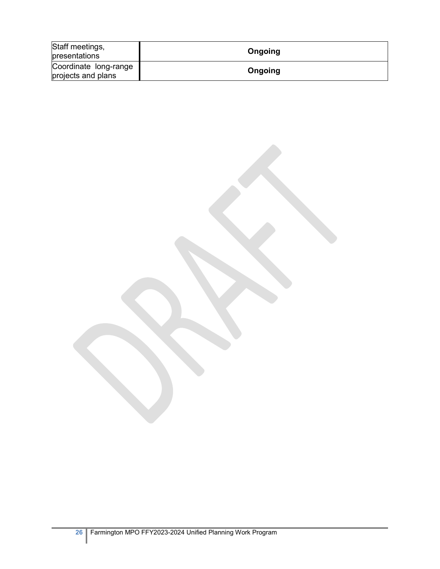| Staff meetings,<br>presentations            | Ongoing |
|---------------------------------------------|---------|
| Coordinate long-range<br>projects and plans | Ongoing |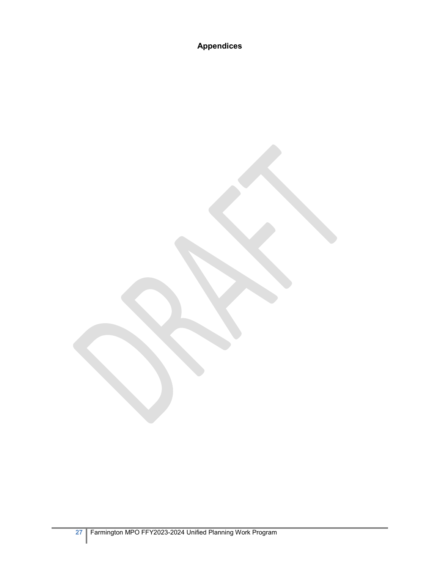**Appendices**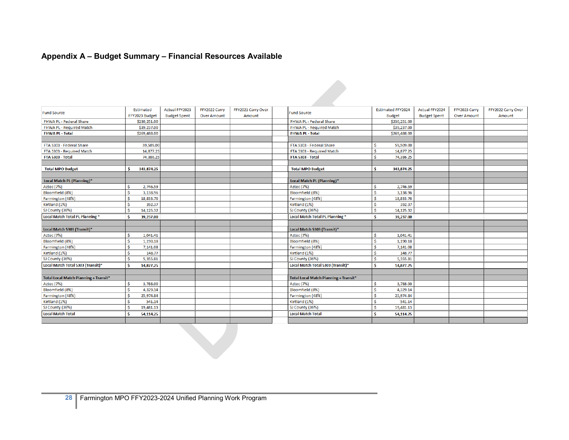# **Appendix A – Budget Summary – Financial Resources Available**

|                                       | <b>Estimated</b> | <b>Actual FFY2023</b> | FFY2022 Carry      | FFY2021 Carry Over |                                       | <b>Estimated FFY2024</b> | <b>Actual FFY2024</b> | FFY2023 Carry      | FFY2022 Carry Over |
|---------------------------------------|------------------|-----------------------|--------------------|--------------------|---------------------------------------|--------------------------|-----------------------|--------------------|--------------------|
| <b>Fund Source</b>                    | FFY2023 Budget   | <b>Budget Spent</b>   | <b>Over Amount</b> | Amount             | <b>Fund Source</b>                    | <b>Budget</b>            | <b>Budget Spent</b>   | <b>Over Amount</b> | Amount             |
| FHWA PL - Federal Share               | \$230,251.00     |                       |                    |                    | FHWA PL - Federal Share               | \$230,251.00             |                       |                    |                    |
| FHWA PL - Required Match              | \$39,237.00      |                       |                    |                    | FHWA PL - Required Match              | \$39,237.00              |                       |                    |                    |
| <b>FHWA PL - Total</b>                | \$269,488.00     |                       |                    |                    | <b>FHWA PL - Total</b>                | \$269.488.00             |                       |                    |                    |
|                                       |                  |                       |                    |                    |                                       |                          |                       |                    |                    |
| FTA 5303 - Federal Share              | 59,509.00        |                       |                    |                    | FTA 5303 - Federal Share              | 59,509.00<br>Š.          |                       |                    |                    |
| FTA 5303 - Required Match             | 14,877.25        |                       |                    |                    | FTA 5303 - Required Match             | 14,877.25<br>Ŝ           |                       |                    |                    |
| FTA 5303 - Total                      | 74,386.25        |                       |                    |                    | FTA 5303 - Total                      | 74,386.25                |                       |                    |                    |
|                                       |                  |                       |                    |                    |                                       |                          |                       |                    |                    |
| <b>Total MPO Budget</b>               | 343,874.25<br>Ŝ  |                       |                    |                    | <b>Total MPO Budget</b>               | Ŝ<br>343,874.25          |                       |                    |                    |
|                                       |                  |                       |                    |                    |                                       |                          |                       |                    |                    |
| Local Match PL (Planning)*            |                  |                       |                    |                    | Local Match PL (Planning)*            |                          |                       |                    |                    |
| Aztec (7%)                            | 2,746.59<br>Ś    |                       |                    |                    | Aztec (7%)                            | 2,746.59<br>.Ŝ           |                       |                    |                    |
| Bloomfield (8%)                       | Ś<br>3,138.96    |                       |                    |                    | Bloomfield (8%)                       | 3,138.96<br>Ŝ            |                       |                    |                    |
| Farmington (48%)                      | Ŝ<br>18,833.76   |                       |                    |                    | Farmington (48%)                      | Ŝ<br>18,833.76           |                       |                    |                    |
| Kirtland (1%)                         | Ś<br>392.37      |                       |                    |                    | Kirtland (1%)                         | 392.37<br>Ŝ              |                       |                    |                    |
| SJ County (36%)                       | Ś<br>14,125.32   |                       |                    |                    | SJ County (36%)                       | Ŝ<br>14,125.32           |                       |                    |                    |
| Local Match Total PL Planning *       | -Ś.<br>39,237.00 |                       |                    |                    | Local Match Total PL Planning *       | Ŝ<br>39,237.00           |                       |                    |                    |
|                                       |                  |                       |                    |                    |                                       |                          |                       |                    |                    |
| Local Match 5303 (Transit)*           |                  |                       |                    |                    | Local Match 5303 (Transit)*           |                          |                       |                    |                    |
| Aztec (7%)                            | Ś<br>1,041.41    |                       |                    |                    | <b>Aztec</b> (7%)                     | 1,041.41<br>Ŝ            |                       |                    |                    |
| Bloomfield (8%)                       | Ŝ<br>1,190.18    |                       |                    |                    | Bloomfield (8%)                       | Ŝ<br>1,190.18            |                       |                    |                    |
| Farmington (48%)                      | Ś<br>7,141.08    |                       |                    |                    | Farmington (48%)                      | Ŝ<br>7,141.08            |                       |                    |                    |
| Kirtland (1%)                         | Ś<br>148.77      |                       |                    |                    | Kirtland (1%)                         | 148.77<br>Š              |                       |                    |                    |
| SJ County (36%)                       | Ś<br>5,355.81    |                       |                    |                    | SJ County (36%)                       | Ŝ<br>5.355.81            |                       |                    |                    |
| Local Match Total 5303 (Transit)*     | Ŝ<br>14,877.25   |                       |                    |                    | Local Match Total 5303 (Transit)*     | 14,877.25<br>-Ś          |                       |                    |                    |
|                                       |                  |                       |                    |                    |                                       |                          |                       |                    |                    |
| Total Local Match Planning + Transit* |                  |                       |                    |                    | Total Local Match Planning + Transit* |                          |                       |                    |                    |
| Aztec (7%)                            | 3,788.00<br>Ś    |                       |                    |                    | Aztec (7%)                            | 3,788.00<br>Ŝ            |                       |                    |                    |
| Bloomfield (8%)                       | Š<br>4,329.14    |                       |                    |                    | Bloomfield (8%)                       | 4,329.14<br>.Ŝ           |                       |                    |                    |
| Farmington (48%)                      | Ś<br>25,974.84   |                       |                    |                    | Farmington (48%)                      | Š.<br>25,974.84          |                       |                    |                    |
| Kirtland (1%)                         | Ś<br>541.14      |                       |                    |                    | Kirtland (1%)                         | 541.14<br>.Ŝ             |                       |                    |                    |
| SJ County (36%)                       | Ŝ<br>19,481.13   |                       |                    |                    | SJ County (36%)                       | .Ŝ<br>19,481.13          |                       |                    |                    |
| Local Match Total                     | Ŝ<br>54,114.25   |                       |                    |                    | <b>Local Match Total</b>              | 54,114.25                |                       |                    |                    |
|                                       |                  |                       |                    |                    |                                       |                          |                       |                    |                    |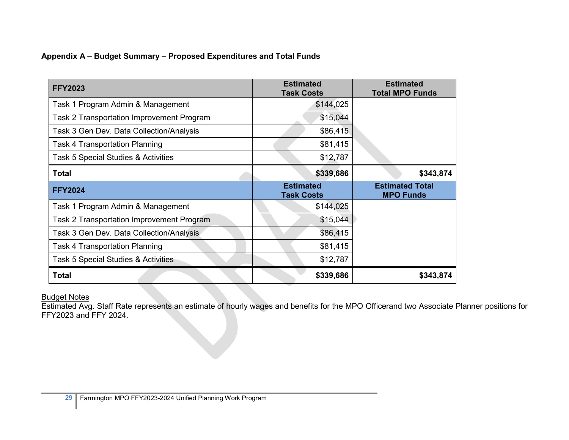## **Appendix A – Budget Summary – Proposed Expenditures and Total Funds**

| <b>FFY2023</b>                            | <b>Estimated</b><br><b>Task Costs</b> | <b>Estimated</b><br><b>Total MPO Funds</b> |
|-------------------------------------------|---------------------------------------|--------------------------------------------|
| Task 1 Program Admin & Management         | \$144,025                             |                                            |
| Task 2 Transportation Improvement Program | \$15,044                              |                                            |
| Task 3 Gen Dev. Data Collection/Analysis  | \$86,415                              |                                            |
| <b>Task 4 Transportation Planning</b>     | \$81,415                              |                                            |
| Task 5 Special Studies & Activities       | \$12,787                              |                                            |
| <b>Total</b>                              | \$339,686                             | \$343,874                                  |
|                                           |                                       |                                            |
| <b>FFY2024</b>                            | <b>Estimated</b><br><b>Task Costs</b> | <b>Estimated Total</b><br><b>MPO Funds</b> |
| Task 1 Program Admin & Management         | \$144,025                             |                                            |
| Task 2 Transportation Improvement Program | \$15,044                              |                                            |
| Task 3 Gen Dev. Data Collection/Analysis  | \$86,415                              |                                            |
| <b>Task 4 Transportation Planning</b>     | \$81,415                              |                                            |
| Task 5 Special Studies & Activities       | \$12,787                              |                                            |

#### Budget Notes

Estimated Avg. Staff Rate represents an estimate of hourly wages and benefits for the MPO Officerand two Associate Planner positions for FFY2023 and FFY 2024.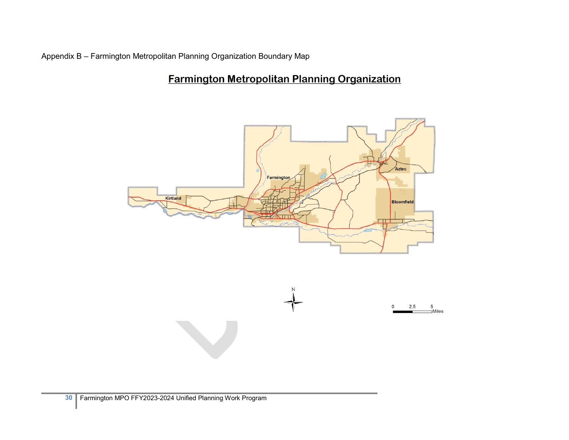Appendix B – Farmington Metropolitan Planning Organization Boundary Map

# **Farmington Metropolitan Planning Organization**

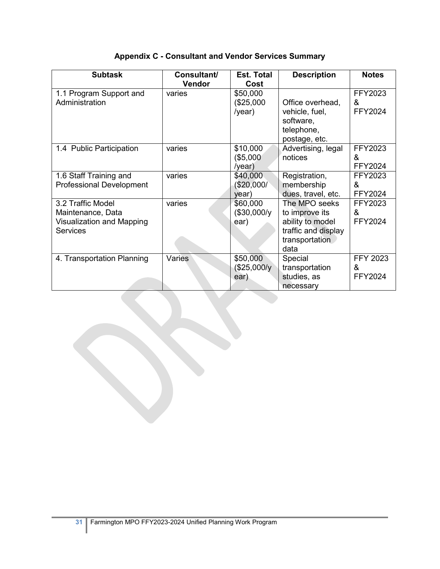| <b>Subtask</b>                                                                         | Consultant/<br>Vendor | <b>Est. Total</b><br>Cost              | <b>Description</b>                                                                                   | <b>Notes</b>                        |
|----------------------------------------------------------------------------------------|-----------------------|----------------------------------------|------------------------------------------------------------------------------------------------------|-------------------------------------|
| 1.1 Program Support and<br>Administration                                              | varies                | \$50,000<br>(\$25,000<br>/year)        | Office overhead,<br>vehicle, fuel,<br>software,<br>telephone,<br>postage, etc.                       | FFY2023<br>&<br>FFY2024             |
| 1.4 Public Participation                                                               | varies                | \$10,000<br>(\$5,000<br>$/$ year)      | Advertising, legal<br>notices                                                                        | FFY2023<br>&<br>FFY2024             |
| 1.6 Staff Training and<br><b>Professional Development</b>                              | varies                | \$40,000<br>(\$20,000/<br>year)        | Registration,<br>membership<br>dues, travel, etc.                                                    | FFY2023<br>&<br>FFY2024             |
| 3.2 Traffic Model<br>Maintenance, Data<br>Visualization and Mapping<br><b>Services</b> | varies                | \$60,000<br>$($30,000/\gamma)$<br>ear) | The MPO seeks<br>to improve its<br>ability to model<br>traffic and display<br>transportation<br>data | FFY2023<br>$\mathcal{R}$<br>FFY2024 |
| 4. Transportation Planning                                                             | Varies                | \$50,000<br>(\$25,000/y<br>ear)        | Special<br>transportation<br>studies, as<br>necessary                                                | <b>FFY 2023</b><br>&<br>FFY2024     |

## **Appendix C - Consultant and Vendor Services Summary**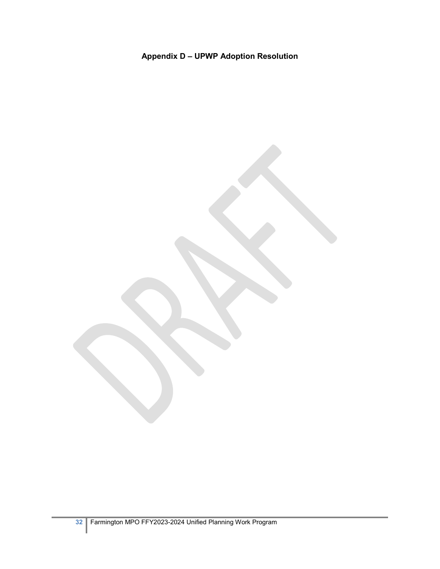# **Appendix D – UPWP Adoption Resolution**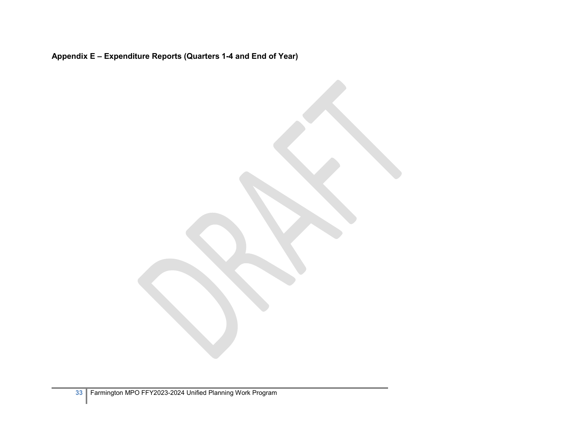**Appendix E – Expenditure Reports (Quarters 1-4 and End of Year)**